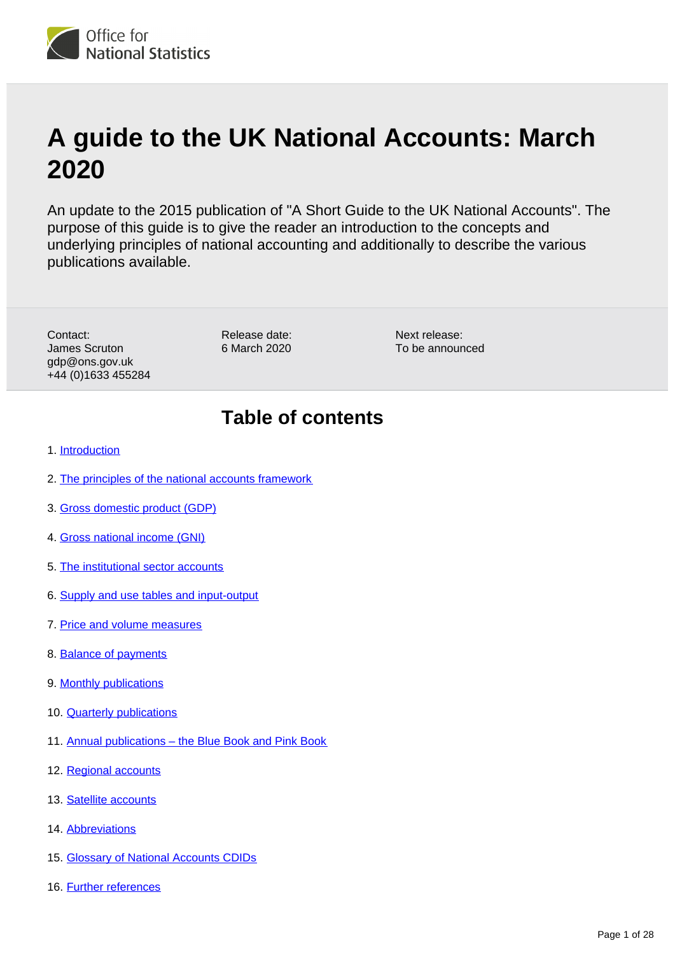

# **A guide to the UK National Accounts: March 2020**

An update to the 2015 publication of "A Short Guide to the UK National Accounts". The purpose of this guide is to give the reader an introduction to the concepts and underlying principles of national accounting and additionally to describe the various publications available.

Contact: James Scruton gdp@ons.gov.uk +44 (0)1633 455284

Release date: 6 March 2020 Next release: To be announced

# **Table of contents**

- 1. [Introduction](#page-2-0)
- 2. [The principles of the national accounts framework](#page-3-0)
- 3. [Gross domestic product \(GDP\)](#page-6-0)
- 4. [Gross national income \(GNI\)](#page-10-0)
- 5. [The institutional sector accounts](#page-11-0)
- 6. [Supply and use tables and input-output](#page-13-0)
- 7. [Price and volume measures](#page-14-0)
- 8. [Balance of payments](#page-15-0)
- 9. [Monthly publications](#page-16-0)
- 10. [Quarterly publications](#page-17-0)
- 11. [Annual publications the Blue Book and Pink Book](#page-19-0)
- 12. [Regional accounts](#page-19-1)
- 13. [Satellite accounts](#page-20-0)
- 14. [Abbreviations](#page-22-0)
- 15. [Glossary of National Accounts CDIDs](#page-24-0)
- 16. [Further references](#page-26-0)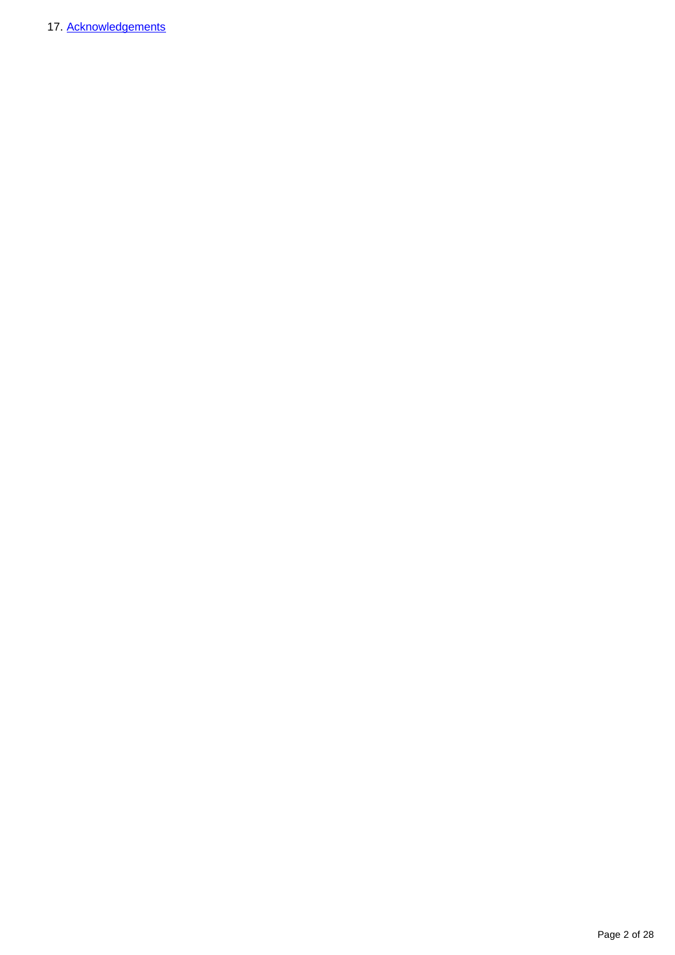17. [Acknowledgements](#page-27-0)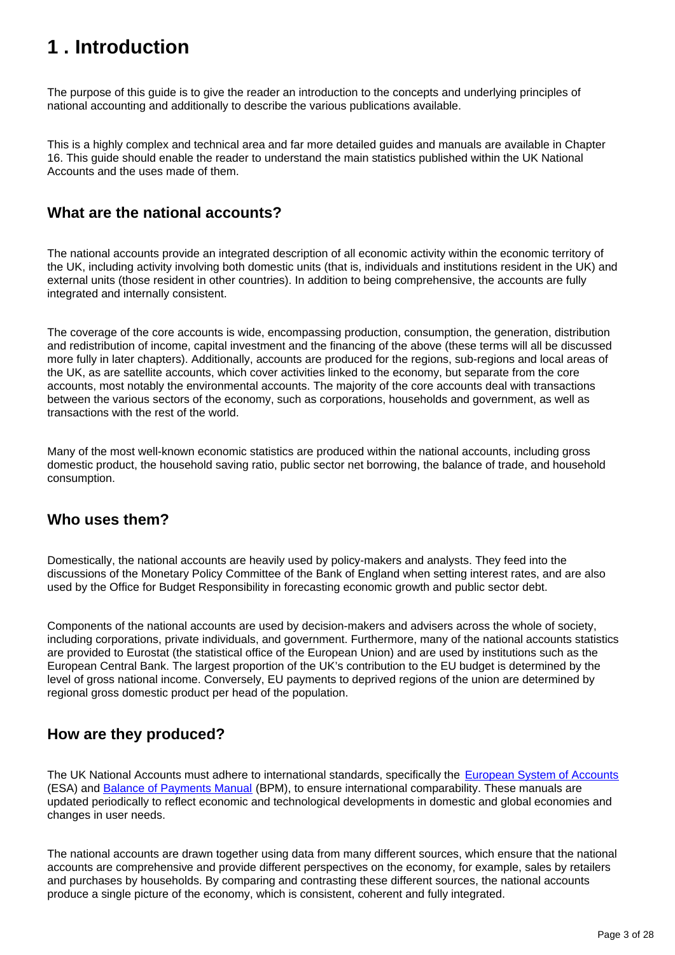# <span id="page-2-0"></span>**1 . Introduction**

The purpose of this guide is to give the reader an introduction to the concepts and underlying principles of national accounting and additionally to describe the various publications available.

This is a highly complex and technical area and far more detailed guides and manuals are available in Chapter 16. This guide should enable the reader to understand the main statistics published within the UK National Accounts and the uses made of them.

### **What are the national accounts?**

The national accounts provide an integrated description of all economic activity within the economic territory of the UK, including activity involving both domestic units (that is, individuals and institutions resident in the UK) and external units (those resident in other countries). In addition to being comprehensive, the accounts are fully integrated and internally consistent.

The coverage of the core accounts is wide, encompassing production, consumption, the generation, distribution and redistribution of income, capital investment and the financing of the above (these terms will all be discussed more fully in later chapters). Additionally, accounts are produced for the regions, sub-regions and local areas of the UK, as are satellite accounts, which cover activities linked to the economy, but separate from the core accounts, most notably the environmental accounts. The majority of the core accounts deal with transactions between the various sectors of the economy, such as corporations, households and government, as well as transactions with the rest of the world.

Many of the most well-known economic statistics are produced within the national accounts, including gross domestic product, the household saving ratio, public sector net borrowing, the balance of trade, and household consumption.

## **Who uses them?**

Domestically, the national accounts are heavily used by policy-makers and analysts. They feed into the discussions of the Monetary Policy Committee of the Bank of England when setting interest rates, and are also used by the Office for Budget Responsibility in forecasting economic growth and public sector debt.

Components of the national accounts are used by decision-makers and advisers across the whole of society, including corporations, private individuals, and government. Furthermore, many of the national accounts statistics are provided to Eurostat (the statistical office of the European Union) and are used by institutions such as the European Central Bank. The largest proportion of the UK's contribution to the EU budget is determined by the level of gross national income. Conversely, EU payments to deprived regions of the union are determined by regional gross domestic product per head of the population.

## **How are they produced?**

The UK National Accounts must adhere to international standards, specifically the [European System of Accounts](http://ec.europa.eu/eurostat/web/esa-2010) (ESA) and [Balance of Payments Manual](http://www.imf.org/external/pubs/ft/bop/2007/bopman6.htm) (BPM), to ensure international comparability. These manuals are updated periodically to reflect economic and technological developments in domestic and global economies and changes in user needs.

The national accounts are drawn together using data from many different sources, which ensure that the national accounts are comprehensive and provide different perspectives on the economy, for example, sales by retailers and purchases by households. By comparing and contrasting these different sources, the national accounts produce a single picture of the economy, which is consistent, coherent and fully integrated.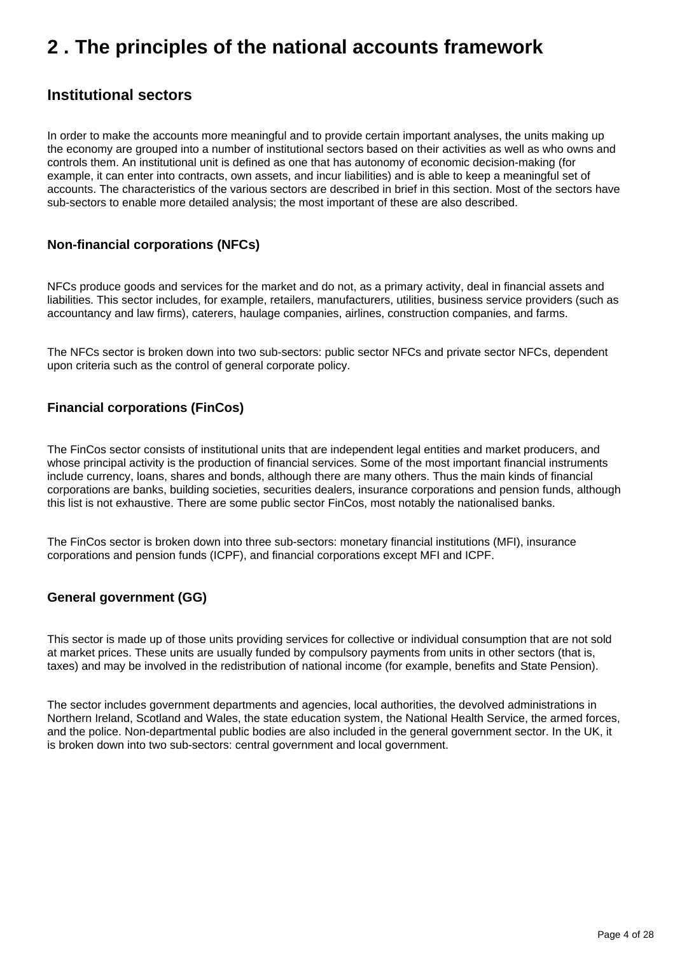# <span id="page-3-0"></span>**2 . The principles of the national accounts framework**

### **Institutional sectors**

In order to make the accounts more meaningful and to provide certain important analyses, the units making up the economy are grouped into a number of institutional sectors based on their activities as well as who owns and controls them. An institutional unit is defined as one that has autonomy of economic decision-making (for example, it can enter into contracts, own assets, and incur liabilities) and is able to keep a meaningful set of accounts. The characteristics of the various sectors are described in brief in this section. Most of the sectors have sub-sectors to enable more detailed analysis; the most important of these are also described.

### **Non-financial corporations (NFCs)**

NFCs produce goods and services for the market and do not, as a primary activity, deal in financial assets and liabilities. This sector includes, for example, retailers, manufacturers, utilities, business service providers (such as accountancy and law firms), caterers, haulage companies, airlines, construction companies, and farms.

The NFCs sector is broken down into two sub-sectors: public sector NFCs and private sector NFCs, dependent upon criteria such as the control of general corporate policy.

### **Financial corporations (FinCos)**

The FinCos sector consists of institutional units that are independent legal entities and market producers, and whose principal activity is the production of financial services. Some of the most important financial instruments include currency, loans, shares and bonds, although there are many others. Thus the main kinds of financial corporations are banks, building societies, securities dealers, insurance corporations and pension funds, although this list is not exhaustive. There are some public sector FinCos, most notably the nationalised banks.

The FinCos sector is broken down into three sub-sectors: monetary financial institutions (MFI), insurance corporations and pension funds (ICPF), and financial corporations except MFI and ICPF.

### **General government (GG)**

This sector is made up of those units providing services for collective or individual consumption that are not sold at market prices. These units are usually funded by compulsory payments from units in other sectors (that is, taxes) and may be involved in the redistribution of national income (for example, benefits and State Pension).

The sector includes government departments and agencies, local authorities, the devolved administrations in Northern Ireland, Scotland and Wales, the state education system, the National Health Service, the armed forces, and the police. Non-departmental public bodies are also included in the general government sector. In the UK, it is broken down into two sub-sectors: central government and local government.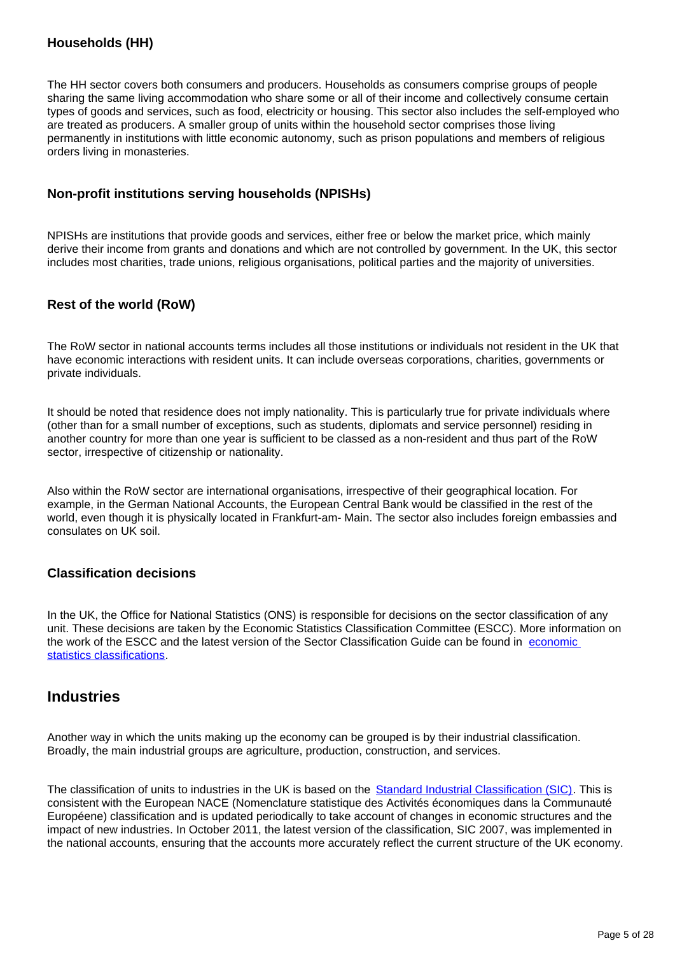### **Households (HH)**

The HH sector covers both consumers and producers. Households as consumers comprise groups of people sharing the same living accommodation who share some or all of their income and collectively consume certain types of goods and services, such as food, electricity or housing. This sector also includes the self-employed who are treated as producers. A smaller group of units within the household sector comprises those living permanently in institutions with little economic autonomy, such as prison populations and members of religious orders living in monasteries.

#### **Non-profit institutions serving households (NPISHs)**

NPISHs are institutions that provide goods and services, either free or below the market price, which mainly derive their income from grants and donations and which are not controlled by government. In the UK, this sector includes most charities, trade unions, religious organisations, political parties and the majority of universities.

### **Rest of the world (RoW)**

The RoW sector in national accounts terms includes all those institutions or individuals not resident in the UK that have economic interactions with resident units. It can include overseas corporations, charities, governments or private individuals.

It should be noted that residence does not imply nationality. This is particularly true for private individuals where (other than for a small number of exceptions, such as students, diplomats and service personnel) residing in another country for more than one year is sufficient to be classed as a non-resident and thus part of the RoW sector, irrespective of citizenship or nationality.

Also within the RoW sector are international organisations, irrespective of their geographical location. For example, in the German National Accounts, the European Central Bank would be classified in the rest of the world, even though it is physically located in Frankfurt-am- Main. The sector also includes foreign embassies and consulates on UK soil.

### **Classification decisions**

In the UK, the Office for National Statistics (ONS) is responsible for decisions on the sector classification of any unit. These decisions are taken by the Economic Statistics Classification Committee (ESCC). More information on the work of the ESCC and the latest version of the Sector Classification Guide can be found in [economic](https://www.ons.gov.uk/methodology/classificationsandstandards/economicstatisticsclassifications/ukeconomicstatisticssectorandtransactionclassificationstheclassificationprocess)  [statistics classifications.](https://www.ons.gov.uk/methodology/classificationsandstandards/economicstatisticsclassifications/ukeconomicstatisticssectorandtransactionclassificationstheclassificationprocess)

### **Industries**

Another way in which the units making up the economy can be grouped is by their industrial classification. Broadly, the main industrial groups are agriculture, production, construction, and services.

The classification of units to industries in the UK is based on the [Standard Industrial Classification \(SIC\)](https://www.ons.gov.uk/methodology/classificationsandstandards/ukstandardindustrialclassificationofeconomicactivities/uksic2007). This is consistent with the European NACE (Nomenclature statistique des Activités économiques dans la Communauté Européene) classification and is updated periodically to take account of changes in economic structures and the impact of new industries. In October 2011, the latest version of the classification, SIC 2007, was implemented in the national accounts, ensuring that the accounts more accurately reflect the current structure of the UK economy.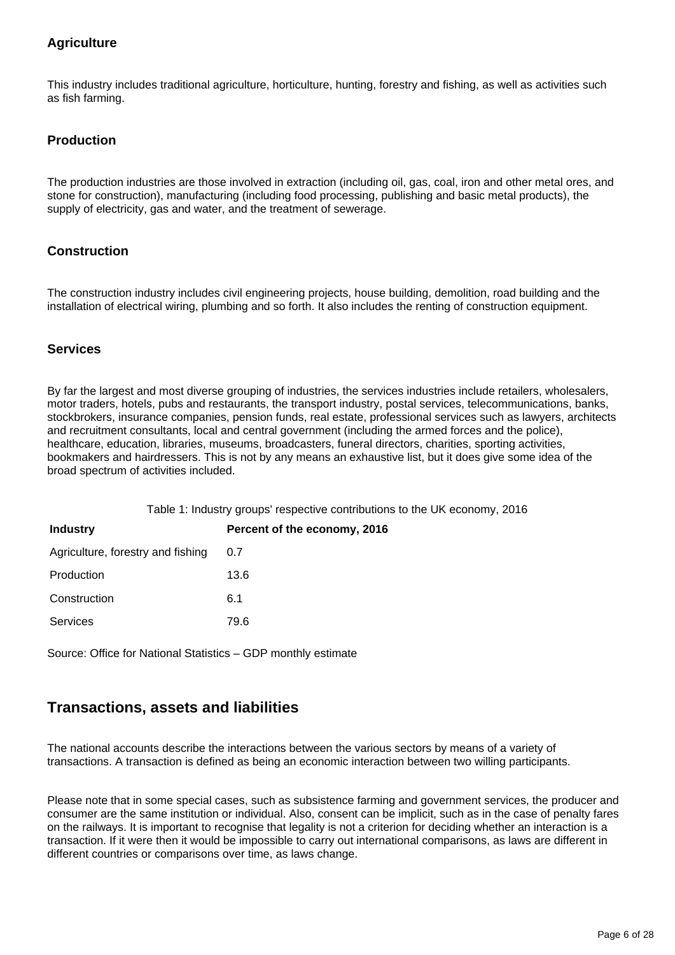### **Agriculture**

This industry includes traditional agriculture, horticulture, hunting, forestry and fishing, as well as activities such as fish farming.

### **Production**

The production industries are those involved in extraction (including oil, gas, coal, iron and other metal ores, and stone for construction), manufacturing (including food processing, publishing and basic metal products), the supply of electricity, gas and water, and the treatment of sewerage.

### **Construction**

The construction industry includes civil engineering projects, house building, demolition, road building and the installation of electrical wiring, plumbing and so forth. It also includes the renting of construction equipment.

#### **Services**

By far the largest and most diverse grouping of industries, the services industries include retailers, wholesalers, motor traders, hotels, pubs and restaurants, the transport industry, postal services, telecommunications, banks, stockbrokers, insurance companies, pension funds, real estate, professional services such as lawyers, architects and recruitment consultants, local and central government (including the armed forces and the police), healthcare, education, libraries, museums, broadcasters, funeral directors, charities, sporting activities, bookmakers and hairdressers. This is not by any means an exhaustive list, but it does give some idea of the broad spectrum of activities included.

| Table 1: Industry groups' respective contributions to the UK economy, 2016 |                              |  |  |  |
|----------------------------------------------------------------------------|------------------------------|--|--|--|
| <b>Industry</b>                                                            | Percent of the economy, 2016 |  |  |  |
| Agriculture, forestry and fishing                                          | 0.7                          |  |  |  |
| Production                                                                 | 13.6                         |  |  |  |
| Construction                                                               | 6.1                          |  |  |  |
| <b>Services</b>                                                            | 79.6                         |  |  |  |

Source: Office for National Statistics – GDP monthly estimate

### **Transactions, assets and liabilities**

The national accounts describe the interactions between the various sectors by means of a variety of transactions. A transaction is defined as being an economic interaction between two willing participants.

Please note that in some special cases, such as subsistence farming and government services, the producer and consumer are the same institution or individual. Also, consent can be implicit, such as in the case of penalty fares on the railways. It is important to recognise that legality is not a criterion for deciding whether an interaction is a transaction. If it were then it would be impossible to carry out international comparisons, as laws are different in different countries or comparisons over time, as laws change.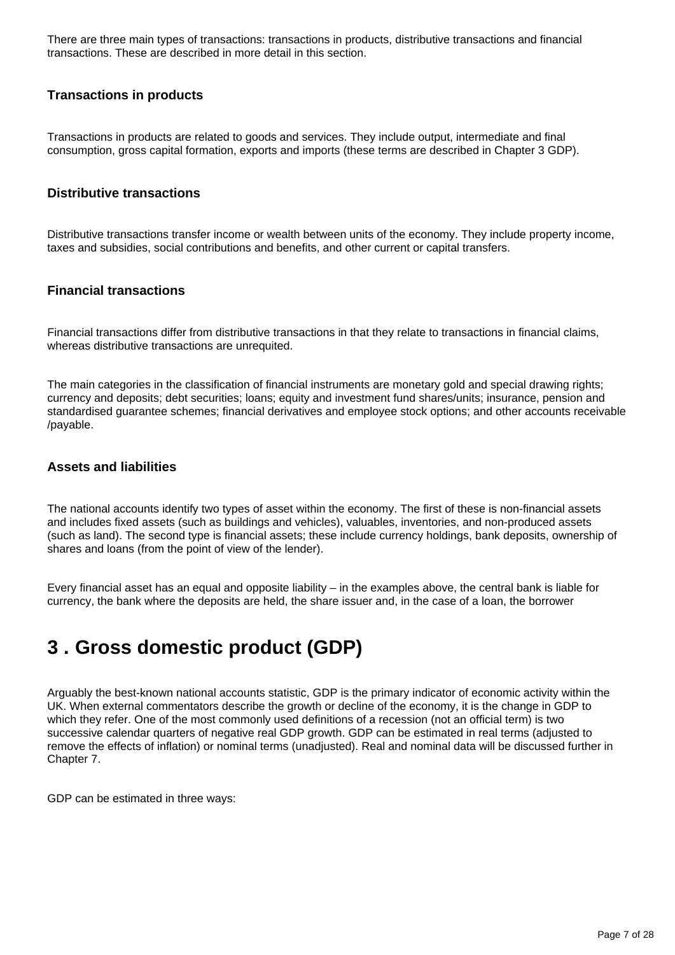There are three main types of transactions: transactions in products, distributive transactions and financial transactions. These are described in more detail in this section.

#### **Transactions in products**

Transactions in products are related to goods and services. They include output, intermediate and final consumption, gross capital formation, exports and imports (these terms are described in Chapter 3 GDP).

#### **Distributive transactions**

Distributive transactions transfer income or wealth between units of the economy. They include property income, taxes and subsidies, social contributions and benefits, and other current or capital transfers.

#### **Financial transactions**

Financial transactions differ from distributive transactions in that they relate to transactions in financial claims, whereas distributive transactions are unrequited.

The main categories in the classification of financial instruments are monetary gold and special drawing rights; currency and deposits; debt securities; loans; equity and investment fund shares/units; insurance, pension and standardised guarantee schemes; financial derivatives and employee stock options; and other accounts receivable /payable.

### **Assets and liabilities**

The national accounts identify two types of asset within the economy. The first of these is non-financial assets and includes fixed assets (such as buildings and vehicles), valuables, inventories, and non-produced assets (such as land). The second type is financial assets; these include currency holdings, bank deposits, ownership of shares and loans (from the point of view of the lender).

Every financial asset has an equal and opposite liability – in the examples above, the central bank is liable for currency, the bank where the deposits are held, the share issuer and, in the case of a loan, the borrower

# <span id="page-6-0"></span>**3 . Gross domestic product (GDP)**

Arguably the best-known national accounts statistic, GDP is the primary indicator of economic activity within the UK. When external commentators describe the growth or decline of the economy, it is the change in GDP to which they refer. One of the most commonly used definitions of a recession (not an official term) is two successive calendar quarters of negative real GDP growth. GDP can be estimated in real terms (adjusted to remove the effects of inflation) or nominal terms (unadjusted). Real and nominal data will be discussed further in Chapter 7.

GDP can be estimated in three ways: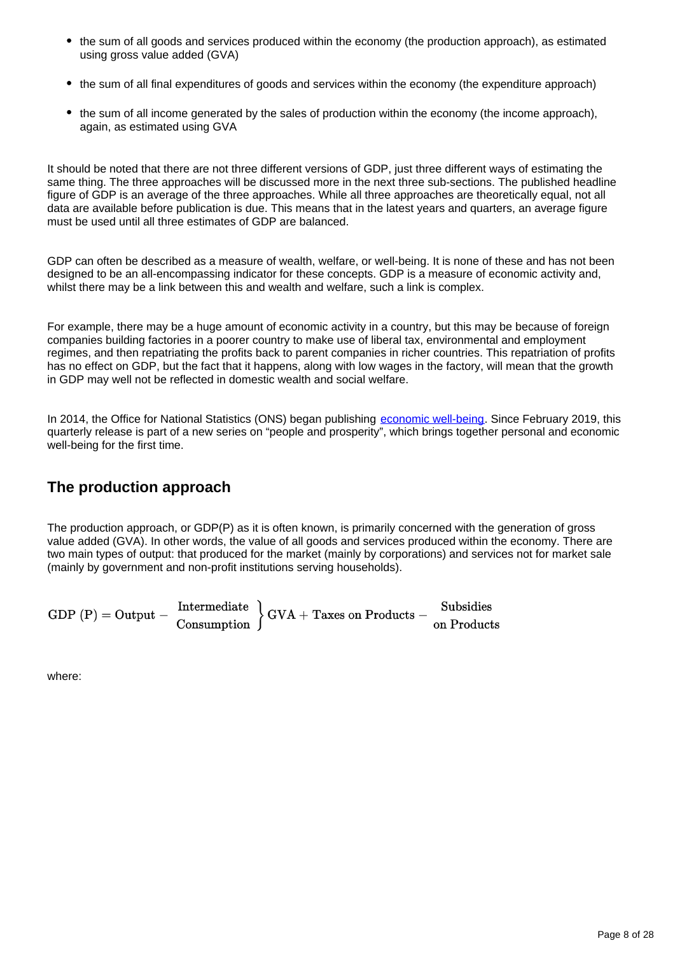- the sum of all goods and services produced within the economy (the production approach), as estimated using gross value added (GVA)
- the sum of all final expenditures of goods and services within the economy (the expenditure approach)
- the sum of all income generated by the sales of production within the economy (the income approach), again, as estimated using GVA

It should be noted that there are not three different versions of GDP, just three different ways of estimating the same thing. The three approaches will be discussed more in the next three sub-sections. The published headline figure of GDP is an average of the three approaches. While all three approaches are theoretically equal, not all data are available before publication is due. This means that in the latest years and quarters, an average figure must be used until all three estimates of GDP are balanced.

GDP can often be described as a measure of wealth, welfare, or well-being. It is none of these and has not been designed to be an all-encompassing indicator for these concepts. GDP is a measure of economic activity and, whilst there may be a link between this and wealth and welfare, such a link is complex.

For example, there may be a huge amount of economic activity in a country, but this may be because of foreign companies building factories in a poorer country to make use of liberal tax, environmental and employment regimes, and then repatriating the profits back to parent companies in richer countries. This repatriation of profits has no effect on GDP, but the fact that it happens, along with low wages in the factory, will mean that the growth in GDP may well not be reflected in domestic wealth and social welfare.

In 2014, the Office for National Statistics (ONS) began publishing [economic well-being](https://www.ons.gov.uk/peoplepopulationandcommunity/wellbeing/bulletins/personalandeconomicwellbeingintheuk/previousReleases). Since February 2019, this quarterly release is part of a new series on "people and prosperity", which brings together personal and economic well-being for the first time.

# **The production approach**

The production approach, or GDP(P) as it is often known, is primarily concerned with the generation of gross value added (GVA). In other words, the value of all goods and services produced within the economy. There are two main types of output: that produced for the market (mainly by corporations) and services not for market sale (mainly by government and non-profit institutions serving households).

| $GDP(P) = Output -$ | Intermediate | $\set{\text{GVA}} + \text{Taxes on Products} -$ | Subsidies   |
|---------------------|--------------|-------------------------------------------------|-------------|
|                     | Consumption  |                                                 | on Products |

where: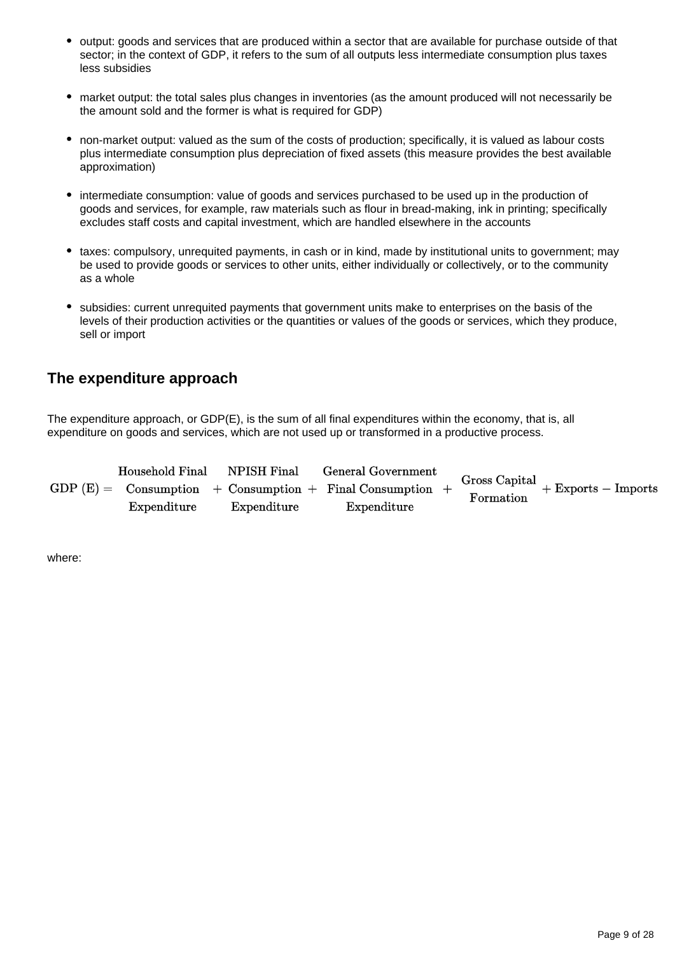- output: goods and services that are produced within a sector that are available for purchase outside of that sector; in the context of GDP, it refers to the sum of all outputs less intermediate consumption plus taxes less subsidies
- market output: the total sales plus changes in inventories (as the amount produced will not necessarily be the amount sold and the former is what is required for GDP)
- non-market output: valued as the sum of the costs of production; specifically, it is valued as labour costs plus intermediate consumption plus depreciation of fixed assets (this measure provides the best available approximation)
- intermediate consumption: value of goods and services purchased to be used up in the production of goods and services, for example, raw materials such as flour in bread-making, ink in printing; specifically excludes staff costs and capital investment, which are handled elsewhere in the accounts
- taxes: compulsory, unrequited payments, in cash or in kind, made by institutional units to government; may be used to provide goods or services to other units, either individually or collectively, or to the community as a whole
- subsidies: current unrequited payments that government units make to enterprises on the basis of the levels of their production activities or the quantities or values of the goods or services, which they produce, sell or import

### **The expenditure approach**

The expenditure approach, or GDP(E), is the sum of all final expenditures within the economy, that is, all expenditure on goods and services, which are not used up or transformed in a productive process.

| Household Final | ${\rm NPISH~Final}$ | <b>General Government</b>                                  |           |                                     |
|-----------------|---------------------|------------------------------------------------------------|-----------|-------------------------------------|
|                 |                     | $GDP(E) =$ Consumption + Consumption + Final Consumption + | Formation | Gross Capital $+$ Exports - Imports |
| Expenditure     | Expenditure         | Expenditure                                                |           |                                     |

where: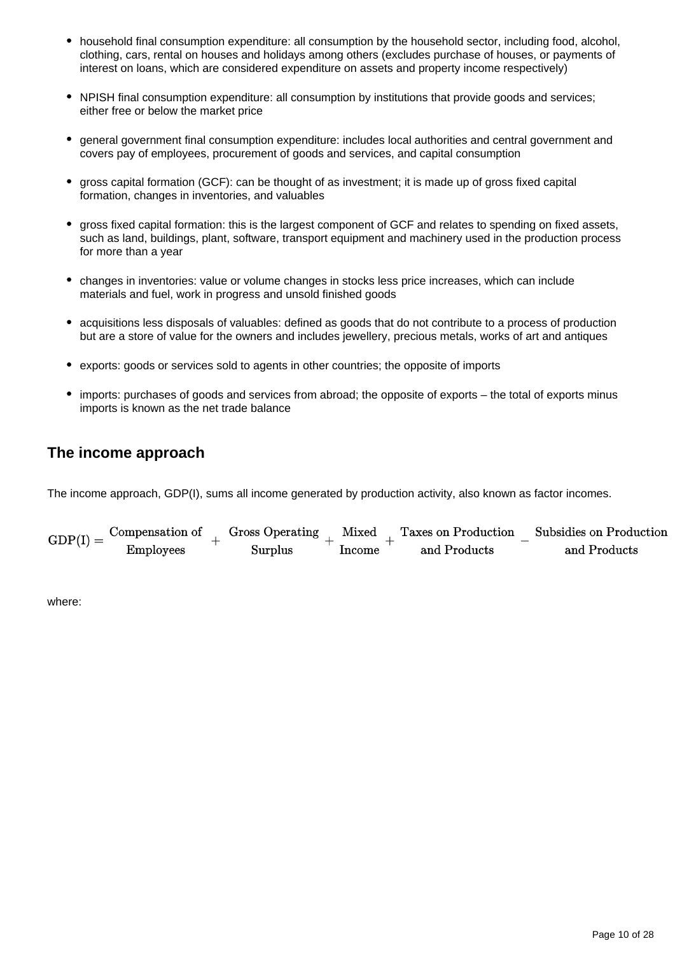- household final consumption expenditure: all consumption by the household sector, including food, alcohol, clothing, cars, rental on houses and holidays among others (excludes purchase of houses, or payments of interest on loans, which are considered expenditure on assets and property income respectively)
- NPISH final consumption expenditure: all consumption by institutions that provide goods and services; either free or below the market price
- general government final consumption expenditure: includes local authorities and central government and covers pay of employees, procurement of goods and services, and capital consumption
- gross capital formation (GCF): can be thought of as investment; it is made up of gross fixed capital formation, changes in inventories, and valuables
- gross fixed capital formation: this is the largest component of GCF and relates to spending on fixed assets, such as land, buildings, plant, software, transport equipment and machinery used in the production process for more than a year
- changes in inventories: value or volume changes in stocks less price increases, which can include materials and fuel, work in progress and unsold finished goods
- acquisitions less disposals of valuables: defined as goods that do not contribute to a process of production but are a store of value for the owners and includes jewellery, precious metals, works of art and antiques
- exports: goods or services sold to agents in other countries; the opposite of imports
- imports: purchases of goods and services from abroad; the opposite of exports the total of exports minus imports is known as the net trade balance

## **The income approach**

The income approach, GDP(I), sums all income generated by production activity, also known as factor incomes.

| $GDP(I) =$ | Compensation of  | Gross Operating | Mixed  | Taxes on Production | Subsidies on Production |
|------------|------------------|-----------------|--------|---------------------|-------------------------|
|            | <b>Employees</b> | Surplus         | Income | and Products        | and Products            |

where: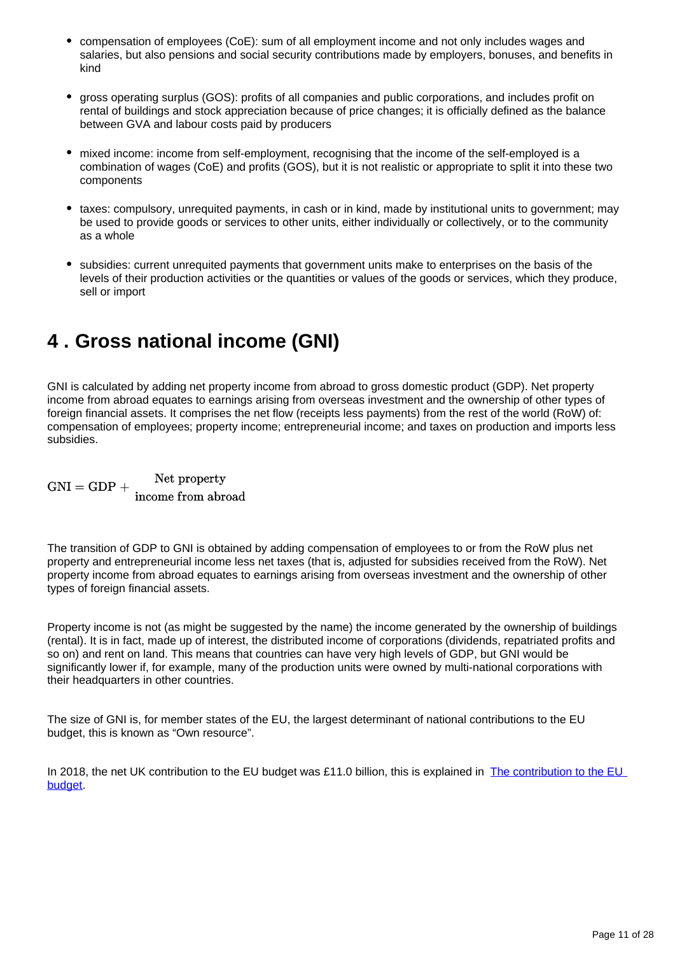- compensation of employees (CoE): sum of all employment income and not only includes wages and salaries, but also pensions and social security contributions made by employers, bonuses, and benefits in kind
- gross operating surplus (GOS): profits of all companies and public corporations, and includes profit on rental of buildings and stock appreciation because of price changes; it is officially defined as the balance between GVA and labour costs paid by producers
- mixed income: income from self-employment, recognising that the income of the self-employed is a combination of wages (CoE) and profits (GOS), but it is not realistic or appropriate to split it into these two components
- taxes: compulsory, unrequited payments, in cash or in kind, made by institutional units to government; may be used to provide goods or services to other units, either individually or collectively, or to the community as a whole
- subsidies: current unrequited payments that government units make to enterprises on the basis of the levels of their production activities or the quantities or values of the goods or services, which they produce, sell or import

# <span id="page-10-0"></span>**4 . Gross national income (GNI)**

GNI is calculated by adding net property income from abroad to gross domestic product (GDP). Net property income from abroad equates to earnings arising from overseas investment and the ownership of other types of foreign financial assets. It comprises the net flow (receipts less payments) from the rest of the world (RoW) of: compensation of employees; property income; entrepreneurial income; and taxes on production and imports less subsidies.

Net property  $GNI = GDP +$  Net property<br>income from abroad

The transition of GDP to GNI is obtained by adding compensation of employees to or from the RoW plus net property and entrepreneurial income less net taxes (that is, adjusted for subsidies received from the RoW). Net property income from abroad equates to earnings arising from overseas investment and the ownership of other types of foreign financial assets.

Property income is not (as might be suggested by the name) the income generated by the ownership of buildings (rental). It is in fact, made up of interest, the distributed income of corporations (dividends, repatriated profits and so on) and rent on land. This means that countries can have very high levels of GDP, but GNI would be significantly lower if, for example, many of the production units were owned by multi-national corporations with their headquarters in other countries.

The size of GNI is, for member states of the EU, the largest determinant of national contributions to the EU budget, this is known as "Own resource".

In 2018, the net UK contribution to the EU budget was £11.0 billion, this is explained in The contribution to the EU [budget.](https://www.ons.gov.uk/economy/governmentpublicsectorandtaxes/publicsectorfinance/articles/theukcontributiontotheeubudget/2017-10-31)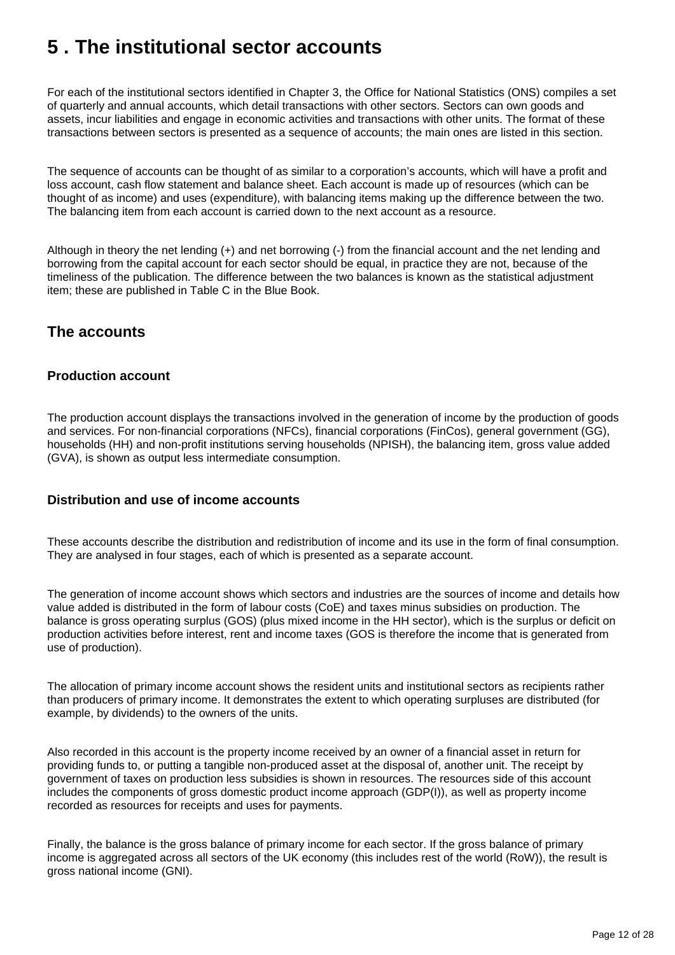# <span id="page-11-0"></span>**5 . The institutional sector accounts**

For each of the institutional sectors identified in Chapter 3, the Office for National Statistics (ONS) compiles a set of quarterly and annual accounts, which detail transactions with other sectors. Sectors can own goods and assets, incur liabilities and engage in economic activities and transactions with other units. The format of these transactions between sectors is presented as a sequence of accounts; the main ones are listed in this section.

The sequence of accounts can be thought of as similar to a corporation's accounts, which will have a profit and loss account, cash flow statement and balance sheet. Each account is made up of resources (which can be thought of as income) and uses (expenditure), with balancing items making up the difference between the two. The balancing item from each account is carried down to the next account as a resource.

Although in theory the net lending (+) and net borrowing (-) from the financial account and the net lending and borrowing from the capital account for each sector should be equal, in practice they are not, because of the timeliness of the publication. The difference between the two balances is known as the statistical adjustment item; these are published in Table C in the Blue Book.

## **The accounts**

### **Production account**

The production account displays the transactions involved in the generation of income by the production of goods and services. For non-financial corporations (NFCs), financial corporations (FinCos), general government (GG), households (HH) and non-profit institutions serving households (NPISH), the balancing item, gross value added (GVA), is shown as output less intermediate consumption.

### **Distribution and use of income accounts**

These accounts describe the distribution and redistribution of income and its use in the form of final consumption. They are analysed in four stages, each of which is presented as a separate account.

The generation of income account shows which sectors and industries are the sources of income and details how value added is distributed in the form of labour costs (CoE) and taxes minus subsidies on production. The balance is gross operating surplus (GOS) (plus mixed income in the HH sector), which is the surplus or deficit on production activities before interest, rent and income taxes (GOS is therefore the income that is generated from use of production).

The allocation of primary income account shows the resident units and institutional sectors as recipients rather than producers of primary income. It demonstrates the extent to which operating surpluses are distributed (for example, by dividends) to the owners of the units.

Also recorded in this account is the property income received by an owner of a financial asset in return for providing funds to, or putting a tangible non-produced asset at the disposal of, another unit. The receipt by government of taxes on production less subsidies is shown in resources. The resources side of this account includes the components of gross domestic product income approach (GDP(I)), as well as property income recorded as resources for receipts and uses for payments.

Finally, the balance is the gross balance of primary income for each sector. If the gross balance of primary income is aggregated across all sectors of the UK economy (this includes rest of the world (RoW)), the result is gross national income (GNI).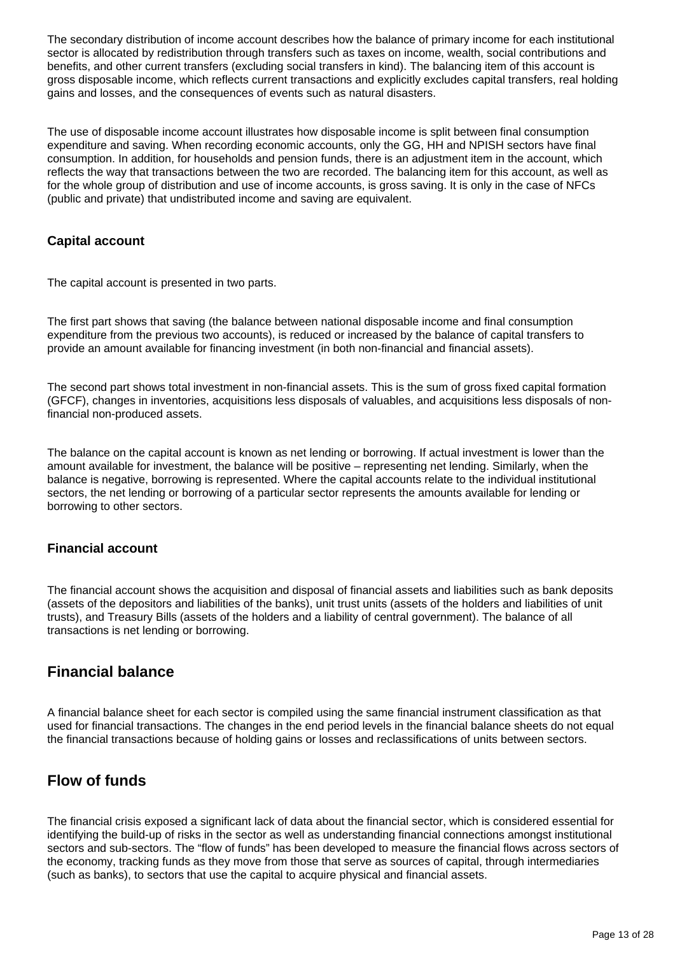The secondary distribution of income account describes how the balance of primary income for each institutional sector is allocated by redistribution through transfers such as taxes on income, wealth, social contributions and benefits, and other current transfers (excluding social transfers in kind). The balancing item of this account is gross disposable income, which reflects current transactions and explicitly excludes capital transfers, real holding gains and losses, and the consequences of events such as natural disasters.

The use of disposable income account illustrates how disposable income is split between final consumption expenditure and saving. When recording economic accounts, only the GG, HH and NPISH sectors have final consumption. In addition, for households and pension funds, there is an adjustment item in the account, which reflects the way that transactions between the two are recorded. The balancing item for this account, as well as for the whole group of distribution and use of income accounts, is gross saving. It is only in the case of NFCs (public and private) that undistributed income and saving are equivalent.

### **Capital account**

The capital account is presented in two parts.

The first part shows that saving (the balance between national disposable income and final consumption expenditure from the previous two accounts), is reduced or increased by the balance of capital transfers to provide an amount available for financing investment (in both non-financial and financial assets).

The second part shows total investment in non-financial assets. This is the sum of gross fixed capital formation (GFCF), changes in inventories, acquisitions less disposals of valuables, and acquisitions less disposals of nonfinancial non-produced assets.

The balance on the capital account is known as net lending or borrowing. If actual investment is lower than the amount available for investment, the balance will be positive – representing net lending. Similarly, when the balance is negative, borrowing is represented. Where the capital accounts relate to the individual institutional sectors, the net lending or borrowing of a particular sector represents the amounts available for lending or borrowing to other sectors.

### **Financial account**

The financial account shows the acquisition and disposal of financial assets and liabilities such as bank deposits (assets of the depositors and liabilities of the banks), unit trust units (assets of the holders and liabilities of unit trusts), and Treasury Bills (assets of the holders and a liability of central government). The balance of all transactions is net lending or borrowing.

## **Financial balance**

A financial balance sheet for each sector is compiled using the same financial instrument classification as that used for financial transactions. The changes in the end period levels in the financial balance sheets do not equal the financial transactions because of holding gains or losses and reclassifications of units between sectors.

## **Flow of funds**

The financial crisis exposed a significant lack of data about the financial sector, which is considered essential for identifying the build-up of risks in the sector as well as understanding financial connections amongst institutional sectors and sub-sectors. The "flow of funds" has been developed to measure the financial flows across sectors of the economy, tracking funds as they move from those that serve as sources of capital, through intermediaries (such as banks), to sectors that use the capital to acquire physical and financial assets.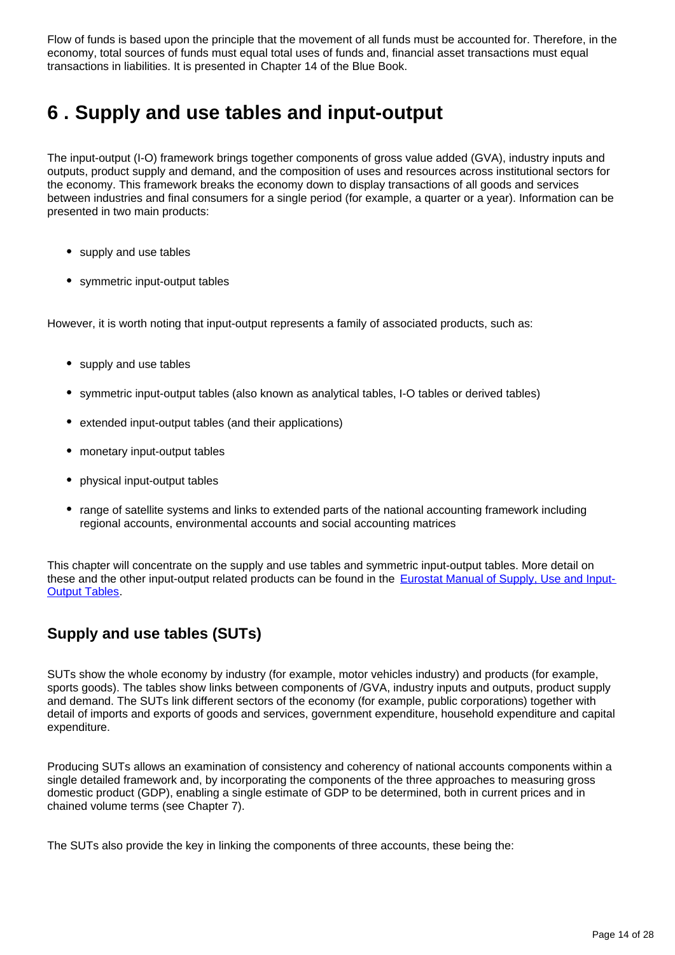Flow of funds is based upon the principle that the movement of all funds must be accounted for. Therefore, in the economy, total sources of funds must equal total uses of funds and, financial asset transactions must equal transactions in liabilities. It is presented in Chapter 14 of the Blue Book.

# <span id="page-13-0"></span>**6 . Supply and use tables and input-output**

The input-output (I-O) framework brings together components of gross value added (GVA), industry inputs and outputs, product supply and demand, and the composition of uses and resources across institutional sectors for the economy. This framework breaks the economy down to display transactions of all goods and services between industries and final consumers for a single period (for example, a quarter or a year). Information can be presented in two main products:

- supply and use tables
- symmetric input-output tables

However, it is worth noting that input-output represents a family of associated products, such as:

- supply and use tables
- symmetric input-output tables (also known as analytical tables, I-O tables or derived tables)
- extended input-output tables (and their applications)
- monetary input-output tables
- physical input-output tables
- range of satellite systems and links to extended parts of the national accounting framework including regional accounts, environmental accounts and social accounting matrices

This chapter will concentrate on the supply and use tables and symmetric input-output tables. More detail on these and the other input-output related products can be found in the [Eurostat Manual of Supply, Use and Input-](http://ec.europa.eu/eurostat/web/esa-supply-use-input-tables)**[Output Tables](http://ec.europa.eu/eurostat/web/esa-supply-use-input-tables).** 

# **Supply and use tables (SUTs)**

SUTs show the whole economy by industry (for example, motor vehicles industry) and products (for example, sports goods). The tables show links between components of /GVA, industry inputs and outputs, product supply and demand. The SUTs link different sectors of the economy (for example, public corporations) together with detail of imports and exports of goods and services, government expenditure, household expenditure and capital expenditure.

Producing SUTs allows an examination of consistency and coherency of national accounts components within a single detailed framework and, by incorporating the components of the three approaches to measuring gross domestic product (GDP), enabling a single estimate of GDP to be determined, both in current prices and in chained volume terms (see Chapter 7).

The SUTs also provide the key in linking the components of three accounts, these being the: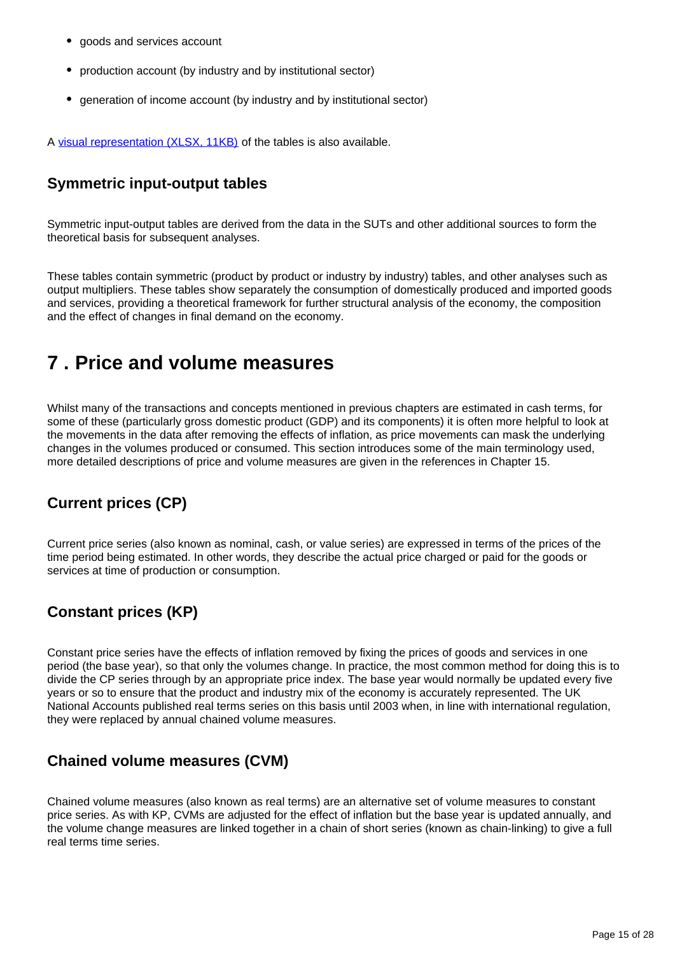- goods and services account
- production account (by industry and by institutional sector)
- generation of income account (by industry and by institutional sector)

A [visual representation \(XLSX, 11KB\)](https://www.ons.gov.uk/file?uri=/economy/nationalaccounts/uksectoraccounts/methodologies/aguidetotheuknationalaccountsmarch2020/supplyandusetables.xlsx) of the tables is also available.

### **Symmetric input-output tables**

Symmetric input-output tables are derived from the data in the SUTs and other additional sources to form the theoretical basis for subsequent analyses.

These tables contain symmetric (product by product or industry by industry) tables, and other analyses such as output multipliers. These tables show separately the consumption of domestically produced and imported goods and services, providing a theoretical framework for further structural analysis of the economy, the composition and the effect of changes in final demand on the economy.

# <span id="page-14-0"></span>**7 . Price and volume measures**

Whilst many of the transactions and concepts mentioned in previous chapters are estimated in cash terms, for some of these (particularly gross domestic product (GDP) and its components) it is often more helpful to look at the movements in the data after removing the effects of inflation, as price movements can mask the underlying changes in the volumes produced or consumed. This section introduces some of the main terminology used, more detailed descriptions of price and volume measures are given in the references in Chapter 15.

# **Current prices (CP)**

Current price series (also known as nominal, cash, or value series) are expressed in terms of the prices of the time period being estimated. In other words, they describe the actual price charged or paid for the goods or services at time of production or consumption.

# **Constant prices (KP)**

Constant price series have the effects of inflation removed by fixing the prices of goods and services in one period (the base year), so that only the volumes change. In practice, the most common method for doing this is to divide the CP series through by an appropriate price index. The base year would normally be updated every five years or so to ensure that the product and industry mix of the economy is accurately represented. The UK National Accounts published real terms series on this basis until 2003 when, in line with international regulation, they were replaced by annual chained volume measures.

## **Chained volume measures (CVM)**

Chained volume measures (also known as real terms) are an alternative set of volume measures to constant price series. As with KP, CVMs are adjusted for the effect of inflation but the base year is updated annually, and the volume change measures are linked together in a chain of short series (known as chain-linking) to give a full real terms time series.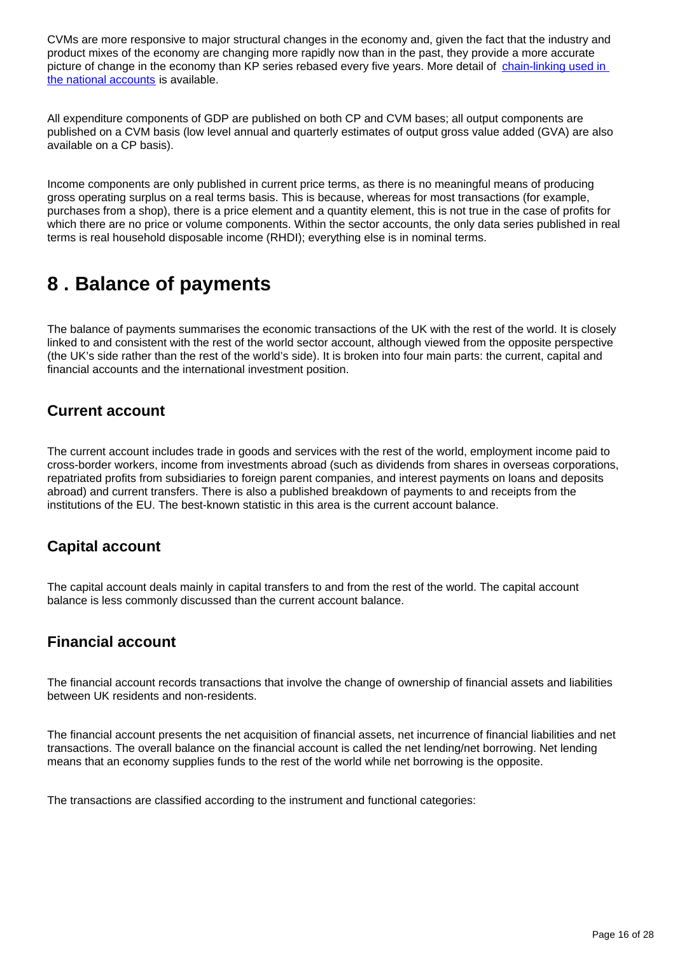CVMs are more responsive to major structural changes in the economy and, given the fact that the industry and product mixes of the economy are changing more rapidly now than in the past, they provide a more accurate picture of change in the economy than KP series rebased every five years. More detail of chain-linking used in [the national accounts](https://www.ons.gov.uk/economy/nationalaccounts/uksectoraccounts/methodologies/chainlinkingmethodsusedwithintheuknationalaccounts) is available.

All expenditure components of GDP are published on both CP and CVM bases; all output components are published on a CVM basis (low level annual and quarterly estimates of output gross value added (GVA) are also available on a CP basis).

Income components are only published in current price terms, as there is no meaningful means of producing gross operating surplus on a real terms basis. This is because, whereas for most transactions (for example, purchases from a shop), there is a price element and a quantity element, this is not true in the case of profits for which there are no price or volume components. Within the sector accounts, the only data series published in real terms is real household disposable income (RHDI); everything else is in nominal terms.

# <span id="page-15-0"></span>**8 . Balance of payments**

The balance of payments summarises the economic transactions of the UK with the rest of the world. It is closely linked to and consistent with the rest of the world sector account, although viewed from the opposite perspective (the UK's side rather than the rest of the world's side). It is broken into four main parts: the current, capital and financial accounts and the international investment position.

## **Current account**

The current account includes trade in goods and services with the rest of the world, employment income paid to cross-border workers, income from investments abroad (such as dividends from shares in overseas corporations, repatriated profits from subsidiaries to foreign parent companies, and interest payments on loans and deposits abroad) and current transfers. There is also a published breakdown of payments to and receipts from the institutions of the EU. The best-known statistic in this area is the current account balance.

## **Capital account**

The capital account deals mainly in capital transfers to and from the rest of the world. The capital account balance is less commonly discussed than the current account balance.

### **Financial account**

The financial account records transactions that involve the change of ownership of financial assets and liabilities between UK residents and non-residents.

The financial account presents the net acquisition of financial assets, net incurrence of financial liabilities and net transactions. The overall balance on the financial account is called the net lending/net borrowing. Net lending means that an economy supplies funds to the rest of the world while net borrowing is the opposite.

The transactions are classified according to the instrument and functional categories: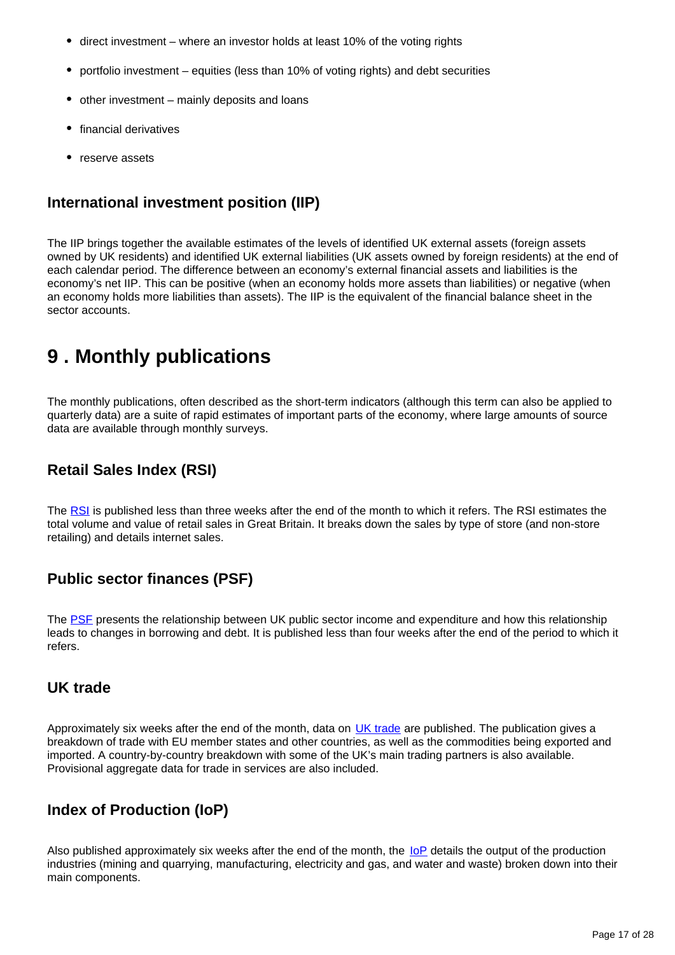- direct investment where an investor holds at least 10% of the voting rights
- portfolio investment equities (less than 10% of voting rights) and debt securities
- other investment mainly deposits and loans
- financial derivatives
- reserve assets

# **International investment position (IIP)**

The IIP brings together the available estimates of the levels of identified UK external assets (foreign assets owned by UK residents) and identified UK external liabilities (UK assets owned by foreign residents) at the end of each calendar period. The difference between an economy's external financial assets and liabilities is the economy's net IIP. This can be positive (when an economy holds more assets than liabilities) or negative (when an economy holds more liabilities than assets). The IIP is the equivalent of the financial balance sheet in the sector accounts.

# <span id="page-16-0"></span>**9 . Monthly publications**

The monthly publications, often described as the short-term indicators (although this term can also be applied to quarterly data) are a suite of rapid estimates of important parts of the economy, where large amounts of source data are available through monthly surveys.

# **Retail Sales Index (RSI)**

The [RSI](http://www.ons.gov.uk/ons/rel/rsi/retail-sales/index.html) is published less than three weeks after the end of the month to which it refers. The RSI estimates the total volume and value of retail sales in Great Britain. It breaks down the sales by type of store (and non-store retailing) and details internet sales.

# **Public sector finances (PSF)**

The [PSF](http://www.ons.gov.uk/ons/rel/psa/public-sector-finances/index.html) presents the relationship between UK public sector income and expenditure and how this relationship leads to changes in borrowing and debt. It is published less than four weeks after the end of the period to which it refers.

### **UK trade**

Approximately six weeks after the end of the month, data on [UK trade](http://www.ons.gov.uk/ons/rel/uktrade/uk-trade/index.html) are published. The publication gives a breakdown of trade with EU member states and other countries, as well as the commodities being exported and imported. A country-by-country breakdown with some of the UK's main trading partners is also available. Provisional aggregate data for trade in services are also included.

# **Index of Production (IoP)**

Also published approximately six weeks after the end of the month, the [IoP](http://www.ons.gov.uk/ons/rel/iop/index-of-production/index.html) details the output of the production industries (mining and quarrying, manufacturing, electricity and gas, and water and waste) broken down into their main components.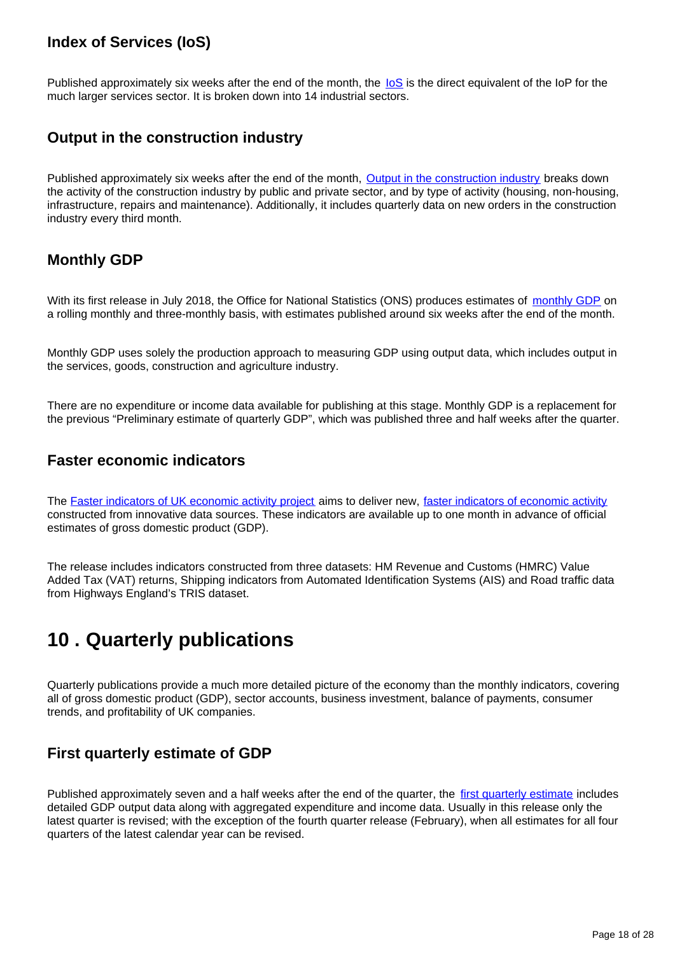# **Index of Services (IoS)**

Published approximately six weeks after the end of the month, the  $\log$  is the direct equivalent of the IoP for the much larger services sector. It is broken down into 14 industrial sectors.

### **Output in the construction industry**

Published approximately six weeks after the end of the month, [Output in the construction industry](https://www.ons.gov.uk/businessindustryandtrade/constructionindustry/bulletins/constructionoutputingreatbritain/previousReleases) breaks down the activity of the construction industry by public and private sector, and by type of activity (housing, non-housing, infrastructure, repairs and maintenance). Additionally, it includes quarterly data on new orders in the construction industry every third month.

## **Monthly GDP**

With its first release in July 2018, the Office for National Statistics (ONS) produces estimates of [monthly GDP](https://www.ons.gov.uk/economy/grossdomesticproductgdp/bulletins/gdpmonthlyestimateuk/previousReleases) on a rolling monthly and three-monthly basis, with estimates published around six weeks after the end of the month.

Monthly GDP uses solely the production approach to measuring GDP using output data, which includes output in the services, goods, construction and agriculture industry.

There are no expenditure or income data available for publishing at this stage. Monthly GDP is a replacement for the previous "Preliminary estimate of quarterly GDP", which was published three and half weeks after the quarter.

### **Faster economic indicators**

The [Faster indicators of UK economic activity project](https://datasciencecampus.ons.gov.uk/faster-indicators-of-uk-economic-activity/) aims to deliver new, [faster indicators of economic activity](https://www.ons.gov.uk/economy/economicoutputandproductivity/output/articles/economicactivityfasterindicatorsuk/previousReleases) constructed from innovative data sources. These indicators are available up to one month in advance of official estimates of gross domestic product (GDP).

The release includes indicators constructed from three datasets: HM Revenue and Customs (HMRC) Value Added Tax (VAT) returns, Shipping indicators from Automated Identification Systems (AIS) and Road traffic data from Highways England's TRIS dataset.

# <span id="page-17-0"></span>**10 . Quarterly publications**

Quarterly publications provide a much more detailed picture of the economy than the monthly indicators, covering all of gross domestic product (GDP), sector accounts, business investment, balance of payments, consumer trends, and profitability of UK companies.

## **First quarterly estimate of GDP**

Published approximately seven and a half weeks after the end of the quarter, the [first quarterly estimate](https://www.ons.gov.uk/economy/grossdomesticproductgdp/bulletins/gdpfirstquarterlyestimateuk/previousReleases) includes detailed GDP output data along with aggregated expenditure and income data. Usually in this release only the latest quarter is revised; with the exception of the fourth quarter release (February), when all estimates for all four quarters of the latest calendar year can be revised.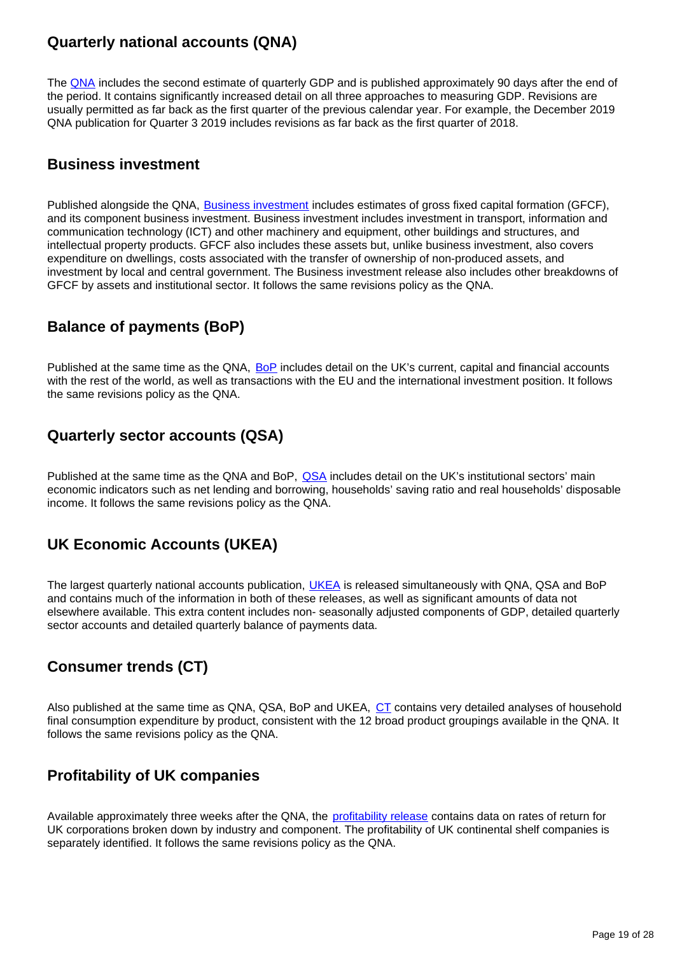## **Quarterly national accounts (QNA)**

The [QNA](http://www.ons.gov.uk/ons/rel/naa2/quarterly-national-accounts/index.html) includes the second estimate of quarterly GDP and is published approximately 90 days after the end of the period. It contains significantly increased detail on all three approaches to measuring GDP. Revisions are usually permitted as far back as the first quarter of the previous calendar year. For example, the December 2019 QNA publication for Quarter 3 2019 includes revisions as far back as the first quarter of 2018.

### **Business investment**

Published alongside the QNA, **Business investment** includes estimates of gross fixed capital formation (GFCF), and its component business investment. Business investment includes investment in transport, information and communication technology (ICT) and other machinery and equipment, other buildings and structures, and intellectual property products. GFCF also includes these assets but, unlike business investment, also covers expenditure on dwellings, costs associated with the transfer of ownership of non-produced assets, and investment by local and central government. The Business investment release also includes other breakdowns of GFCF by assets and institutional sector. It follows the same revisions policy as the QNA.

## **Balance of payments (BoP)**

Published at the same time as the QNA, [BoP](http://www.ons.gov.uk/ons/rel/bop/balance-of-payments/index.html) includes detail on the UK's current, capital and financial accounts with the rest of the world, as well as transactions with the EU and the international investment position. It follows the same revisions policy as the QNA.

## **Quarterly sector accounts (QSA)**

Published at the same time as the QNA and BoP, [QSA](https://www.ons.gov.uk/economy/nationalaccounts/uksectoraccounts/bulletins/quarterlysectoraccounts/previousReleases) includes detail on the UK's institutional sectors' main economic indicators such as net lending and borrowing, households' saving ratio and real households' disposable income. It follows the same revisions policy as the QNA.

## **UK Economic Accounts (UKEA)**

The largest quarterly national accounts publication, [UKEA](http://www.ons.gov.uk/ons/rel/naa1-rd/united-kingdom-economic-accounts/index.html) is released simultaneously with QNA, QSA and BoP and contains much of the information in both of these releases, as well as significant amounts of data not elsewhere available. This extra content includes non- seasonally adjusted components of GDP, detailed quarterly sector accounts and detailed quarterly balance of payments data.

# **Consumer trends (CT)**

Also published at the same time as QNA, QSA, BoP and UKEA, [CT](http://www.ons.gov.uk/ons/rel/consumer-trends/consumer-trends/index.html) contains very detailed analyses of household final consumption expenditure by product, consistent with the 12 broad product groupings available in the QNA. It follows the same revisions policy as the QNA.

# **Profitability of UK companies**

Available approximately three weeks after the QNA, the [profitability release](http://www.ons.gov.uk/ons/rel/pnfc2/profitability-of-uk-companies/index.html) contains data on rates of return for UK corporations broken down by industry and component. The profitability of UK continental shelf companies is separately identified. It follows the same revisions policy as the QNA.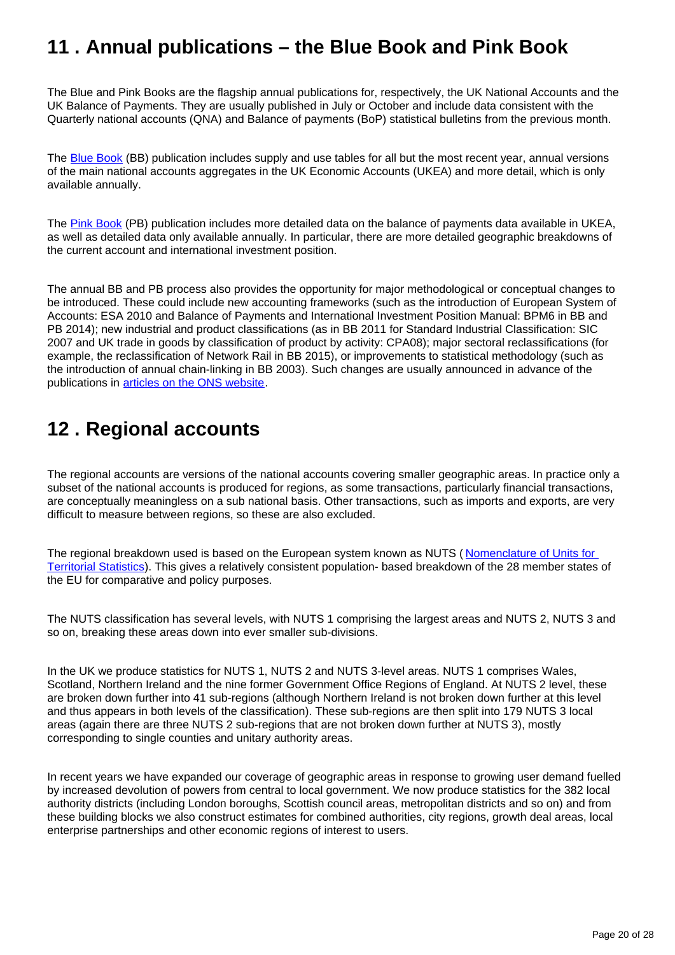# <span id="page-19-0"></span>**11 . Annual publications – the Blue Book and Pink Book**

The Blue and Pink Books are the flagship annual publications for, respectively, the UK National Accounts and the UK Balance of Payments. They are usually published in July or October and include data consistent with the Quarterly national accounts (QNA) and Balance of payments (BoP) statistical bulletins from the previous month.

The [Blue Book](https://www.ons.gov.uk/economy/grossdomesticproductgdp/compendium/unitedkingdomnationalaccountsthebluebook/previousReleases) (BB) publication includes supply and use tables for all but the most recent year, annual versions of the main national accounts aggregates in the UK Economic Accounts (UKEA) and more detail, which is only available annually.

The [Pink Book](https://www.ons.gov.uk/economy/nationalaccounts/balanceofpayments/bulletins/unitedkingdombalanceofpaymentsthepinkbook/previousReleases) (PB) publication includes more detailed data on the balance of payments data available in UKEA, as well as detailed data only available annually. In particular, there are more detailed geographic breakdowns of the current account and international investment position.

The annual BB and PB process also provides the opportunity for major methodological or conceptual changes to be introduced. These could include new accounting frameworks (such as the introduction of European System of Accounts: ESA 2010 and Balance of Payments and International Investment Position Manual: BPM6 in BB and PB 2014); new industrial and product classifications (as in BB 2011 for Standard Industrial Classification: SIC 2007 and UK trade in goods by classification of product by activity: CPA08); major sectoral reclassifications (for example, the reclassification of Network Rail in BB 2015), or improvements to statistical methodology (such as the introduction of annual chain-linking in BB 2003). Such changes are usually announced in advance of the publications in [articles on the ONS website.](https://www.ons.gov.uk/search?q=national%20accounts%20articles)

# <span id="page-19-1"></span>**12 . Regional accounts**

The regional accounts are versions of the national accounts covering smaller geographic areas. In practice only a subset of the national accounts is produced for regions, as some transactions, particularly financial transactions, are conceptually meaningless on a sub national basis. Other transactions, such as imports and exports, are very difficult to measure between regions, so these are also excluded.

The regional breakdown used is based on the European system known as NUTS (Nomenclature of Units for [Territorial Statistics\)](http://ec.europa.eu/eurostat/web/nuts/overview). This gives a relatively consistent population- based breakdown of the 28 member states of the EU for comparative and policy purposes.

The NUTS classification has several levels, with NUTS 1 comprising the largest areas and NUTS 2, NUTS 3 and so on, breaking these areas down into ever smaller sub-divisions.

In the UK we produce statistics for NUTS 1, NUTS 2 and NUTS 3-level areas. NUTS 1 comprises Wales, Scotland, Northern Ireland and the nine former Government Office Regions of England. At NUTS 2 level, these are broken down further into 41 sub-regions (although Northern Ireland is not broken down further at this level and thus appears in both levels of the classification). These sub-regions are then split into 179 NUTS 3 local areas (again there are three NUTS 2 sub-regions that are not broken down further at NUTS 3), mostly corresponding to single counties and unitary authority areas.

In recent years we have expanded our coverage of geographic areas in response to growing user demand fuelled by increased devolution of powers from central to local government. We now produce statistics for the 382 local authority districts (including London boroughs, Scottish council areas, metropolitan districts and so on) and from these building blocks we also construct estimates for combined authorities, city regions, growth deal areas, local enterprise partnerships and other economic regions of interest to users.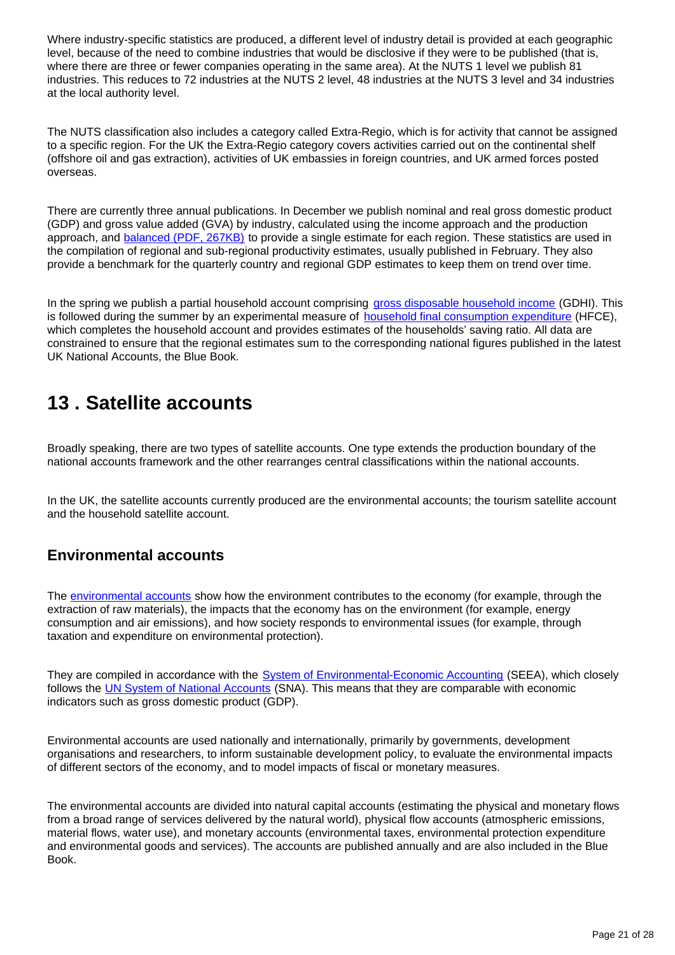Where industry-specific statistics are produced, a different level of industry detail is provided at each geographic level, because of the need to combine industries that would be disclosive if they were to be published (that is, where there are three or fewer companies operating in the same area). At the NUTS 1 level we publish 81 industries. This reduces to 72 industries at the NUTS 2 level, 48 industries at the NUTS 3 level and 34 industries at the local authority level.

The NUTS classification also includes a category called Extra-Regio, which is for activity that cannot be assigned to a specific region. For the UK the Extra-Regio category covers activities carried out on the continental shelf (offshore oil and gas extraction), activities of UK embassies in foreign countries, and UK armed forces posted overseas.

There are currently three annual publications. In December we publish nominal and real gross domestic product (GDP) and gross value added (GVA) by industry, calculated using the income approach and the production approach, and **balanced (PDF, 267KB)** to provide a single estimate for each region. These statistics are used in the compilation of regional and sub-regional productivity estimates, usually published in February. They also provide a benchmark for the quarterly country and regional GDP estimates to keep them on trend over time.

In the spring we publish a partial household account comprising [gross disposable household income](http://www.ons.gov.uk/ons/rel/regional-accounts/regional-household-income/index.html) (GDHI). This is followed during the summer by an experimental measure of **household final consumption expenditure** (HFCE), which completes the household account and provides estimates of the households' saving ratio. All data are constrained to ensure that the regional estimates sum to the corresponding national figures published in the latest UK National Accounts, the Blue Book.

# <span id="page-20-0"></span>**13 . Satellite accounts**

Broadly speaking, there are two types of satellite accounts. One type extends the production boundary of the national accounts framework and the other rearranges central classifications within the national accounts.

In the UK, the satellite accounts currently produced are the environmental accounts; the tourism satellite account and the household satellite account.

## **Environmental accounts**

The [environmental accounts](https://www.ons.gov.uk/economy/environmentalaccounts) show how the environment contributes to the economy (for example, through the extraction of raw materials), the impacts that the economy has on the environment (for example, energy consumption and air emissions), and how society responds to environmental issues (for example, through taxation and expenditure on environmental protection).

They are compiled in accordance with the **[System of Environmental-Economic Accounting](http://unstats.un.org/unsd/envaccounting/seea.asp)** (SEEA), which closely follows the [UN System of National Accounts](http://unstats.un.org/unsd/nationalaccount/sna.asp) (SNA). This means that they are comparable with economic indicators such as gross domestic product (GDP).

Environmental accounts are used nationally and internationally, primarily by governments, development organisations and researchers, to inform sustainable development policy, to evaluate the environmental impacts of different sectors of the economy, and to model impacts of fiscal or monetary measures.

The environmental accounts are divided into natural capital accounts (estimating the physical and monetary flows from a broad range of services delivered by the natural world), physical flow accounts (atmospheric emissions, material flows, water use), and monetary accounts (environmental taxes, environmental protection expenditure and environmental goods and services). The accounts are published annually and are also included in the Blue Book.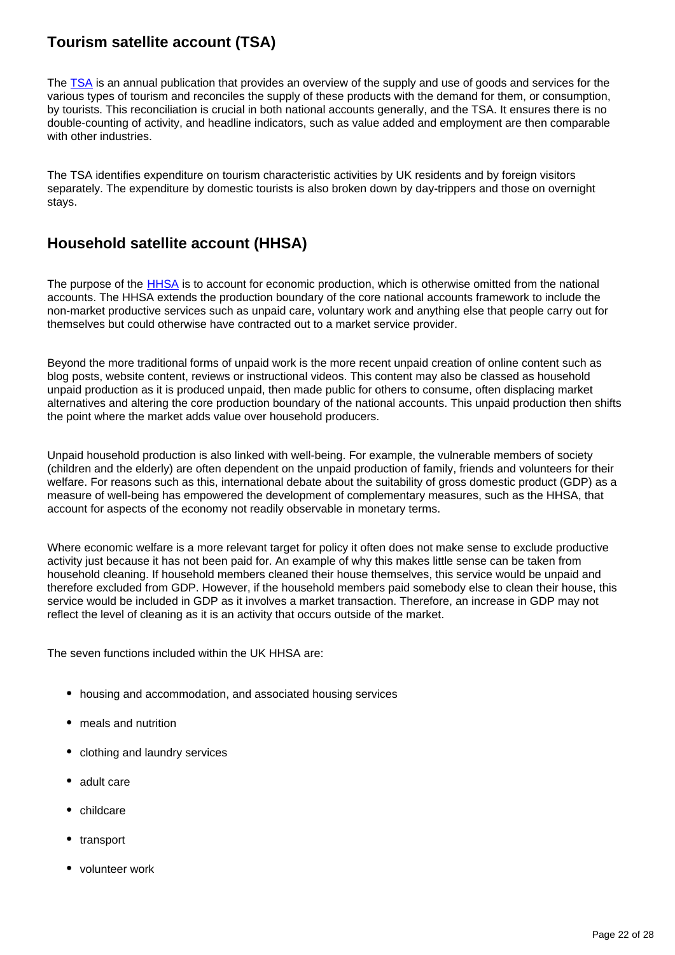## **Tourism satellite account (TSA)**

The [TSA](https://www.ons.gov.uk/economy/nationalaccounts/satelliteaccounts/bulletins/uktourismsatelliteaccountuktsa/2017) is an annual publication that provides an overview of the supply and use of goods and services for the various types of tourism and reconciles the supply of these products with the demand for them, or consumption, by tourists. This reconciliation is crucial in both national accounts generally, and the TSA. It ensures there is no double-counting of activity, and headline indicators, such as value added and employment are then comparable with other industries.

The TSA identifies expenditure on tourism characteristic activities by UK residents and by foreign visitors separately. The expenditure by domestic tourists is also broken down by day-trippers and those on overnight stays.

## **Household satellite account (HHSA)**

The purpose of the **HHSA** is to account for economic production, which is otherwise omitted from the national accounts. The HHSA extends the production boundary of the core national accounts framework to include the non-market productive services such as unpaid care, voluntary work and anything else that people carry out for themselves but could otherwise have contracted out to a market service provider.

Beyond the more traditional forms of unpaid work is the more recent unpaid creation of online content such as blog posts, website content, reviews or instructional videos. This content may also be classed as household unpaid production as it is produced unpaid, then made public for others to consume, often displacing market alternatives and altering the core production boundary of the national accounts. This unpaid production then shifts the point where the market adds value over household producers.

Unpaid household production is also linked with well-being. For example, the vulnerable members of society (children and the elderly) are often dependent on the unpaid production of family, friends and volunteers for their welfare. For reasons such as this, international debate about the suitability of gross domestic product (GDP) as a measure of well-being has empowered the development of complementary measures, such as the HHSA, that account for aspects of the economy not readily observable in monetary terms.

Where economic welfare is a more relevant target for policy it often does not make sense to exclude productive activity just because it has not been paid for. An example of why this makes little sense can be taken from household cleaning. If household members cleaned their house themselves, this service would be unpaid and therefore excluded from GDP. However, if the household members paid somebody else to clean their house, this service would be included in GDP as it involves a market transaction. Therefore, an increase in GDP may not reflect the level of cleaning as it is an activity that occurs outside of the market.

The seven functions included within the UK HHSA are:

- housing and accommodation, and associated housing services
- meals and nutrition
- clothing and laundry services
- adult care
- childcare
- transport
- volunteer work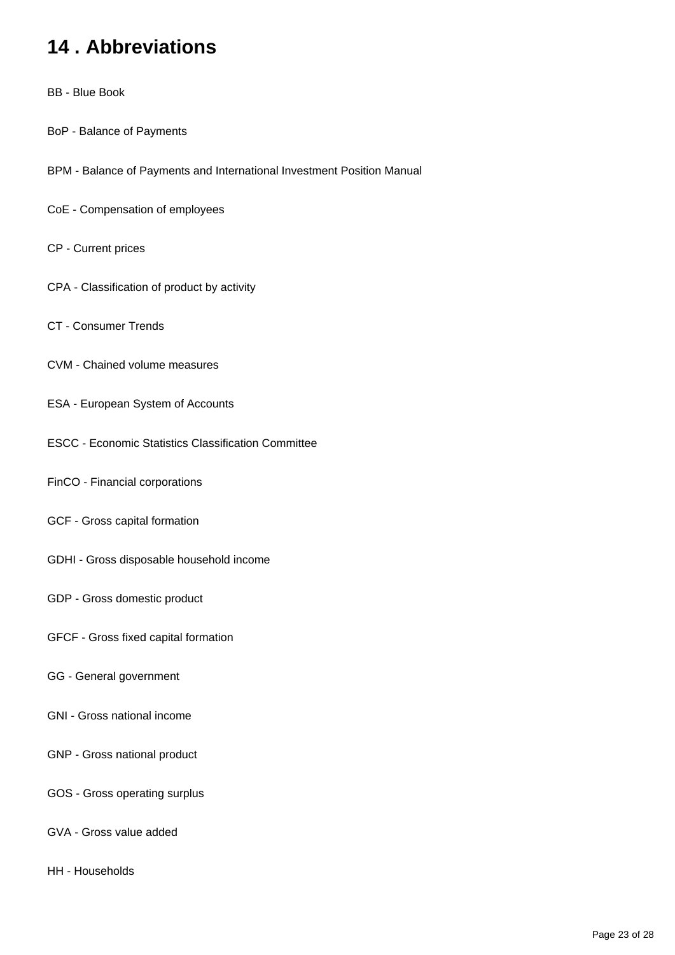# <span id="page-22-0"></span>**14 . Abbreviations**

- BB Blue Book
- BoP Balance of Payments
- BPM Balance of Payments and International Investment Position Manual
- CoE Compensation of employees
- CP Current prices
- CPA Classification of product by activity
- CT Consumer Trends
- CVM Chained volume measures
- ESA European System of Accounts
- ESCC Economic Statistics Classification Committee
- FinCO Financial corporations
- GCF Gross capital formation
- GDHI Gross disposable household income
- GDP Gross domestic product
- GFCF Gross fixed capital formation
- GG General government
- GNI Gross national income
- GNP Gross national product
- GOS Gross operating surplus
- GVA Gross value added
- HH Households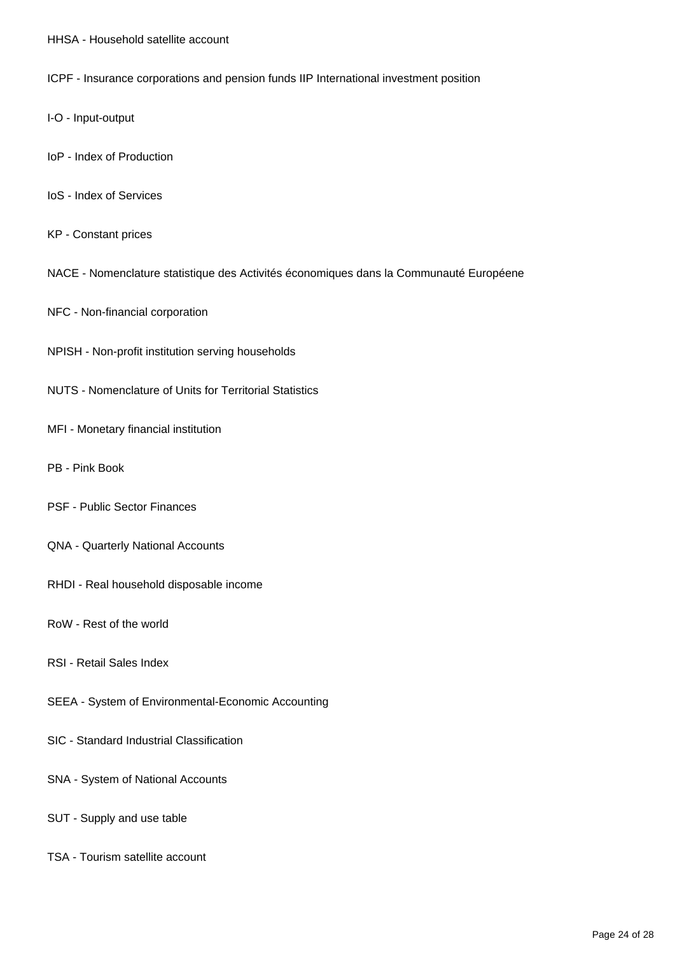- HHSA Household satellite account
- ICPF Insurance corporations and pension funds IIP International investment position
- I-O Input-output
- IoP Index of Production
- IoS Index of Services
- KP Constant prices
- NACE Nomenclature statistique des Activités économiques dans la Communauté Européene
- NFC Non-financial corporation
- NPISH Non-profit institution serving households
- NUTS Nomenclature of Units for Territorial Statistics
- MFI Monetary financial institution
- PB Pink Book
- PSF Public Sector Finances
- QNA Quarterly National Accounts
- RHDI Real household disposable income
- RoW Rest of the world
- RSI Retail Sales Index
- SEEA System of Environmental-Economic Accounting
- SIC Standard Industrial Classification
- SNA System of National Accounts
- SUT Supply and use table
- TSA Tourism satellite account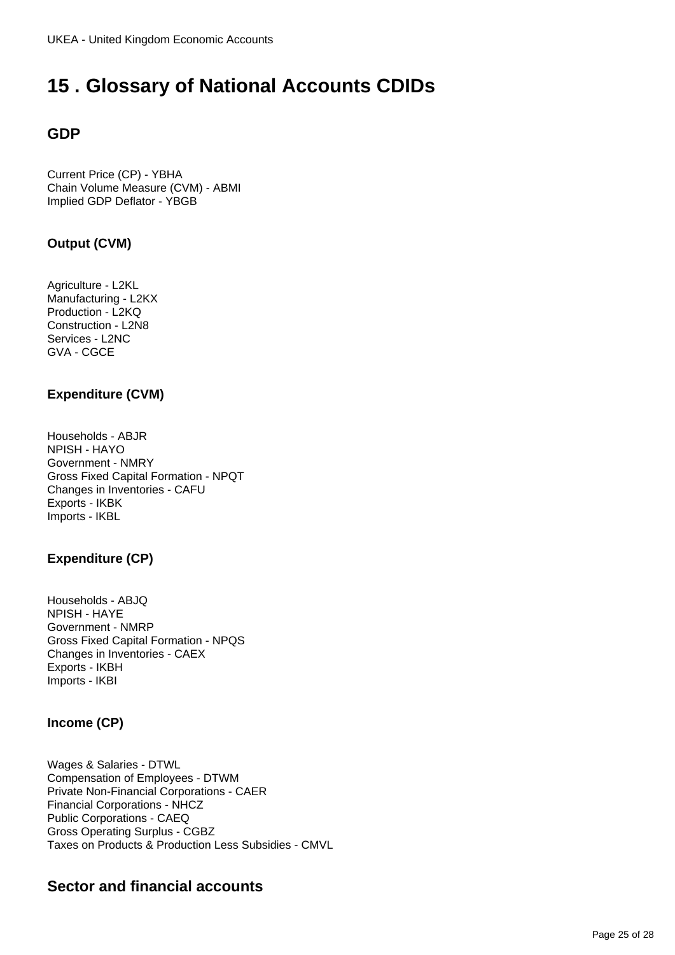# <span id="page-24-0"></span>**15 . Glossary of National Accounts CDIDs**

# **GDP**

Current Price (CP) - YBHA Chain Volume Measure (CVM) - ABMI Implied GDP Deflator - YBGB

### **Output (CVM)**

Agriculture - L2KL Manufacturing - L2KX Production - L2KQ Construction - L2N8 Services - L2NC GVA - CGCE

### **Expenditure (CVM)**

Households - ABJR NPISH - HAYO Government - NMRY Gross Fixed Capital Formation - NPQT Changes in Inventories - CAFU Exports - IKBK Imports - IKBL

### **Expenditure (CP)**

Households - ABJQ NPISH - HAYE Government - NMRP Gross Fixed Capital Formation - NPQS Changes in Inventories - CAEX Exports - IKBH Imports - IKBI

### **Income (CP)**

Wages & Salaries - DTWL Compensation of Employees - DTWM Private Non-Financial Corporations - CAER Financial Corporations - NHCZ Public Corporations - CAEQ Gross Operating Surplus - CGBZ Taxes on Products & Production Less Subsidies - CMVL

## **Sector and financial accounts**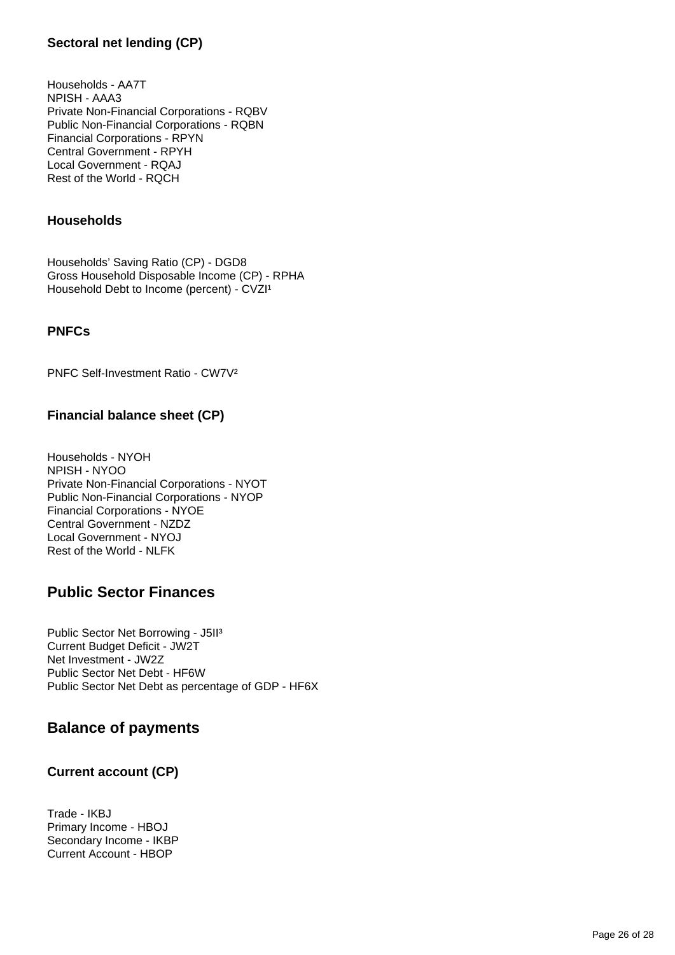### **Sectoral net lending (CP)**

Households - AA7T NPISH - AAA3 Private Non-Financial Corporations - RQBV Public Non-Financial Corporations - RQBN Financial Corporations - RPYN Central Government - RPYH Local Government - RQAJ Rest of the World - RQCH

### **Households**

Households' Saving Ratio (CP) - DGD8 Gross Household Disposable Income (CP) - RPHA Household Debt to Income (percent) - CVZI<sup>1</sup>

#### **PNFCs**

PNFC Self-Investment Ratio - CW7V²

### **Financial balance sheet (CP)**

Households - NYOH NPISH - NYOO Private Non-Financial Corporations - NYOT Public Non-Financial Corporations - NYOP Financial Corporations - NYOE Central Government - NZDZ Local Government - NYOJ Rest of the World - NLFK

### **Public Sector Finances**

Public Sector Net Borrowing - J5II³ Current Budget Deficit - JW2T Net Investment - JW2Z Public Sector Net Debt - HF6W Public Sector Net Debt as percentage of GDP - HF6X

### **Balance of payments**

### **Current account (CP)**

Trade - IKBJ Primary Income - HBOJ Secondary Income - IKBP Current Account - HBOP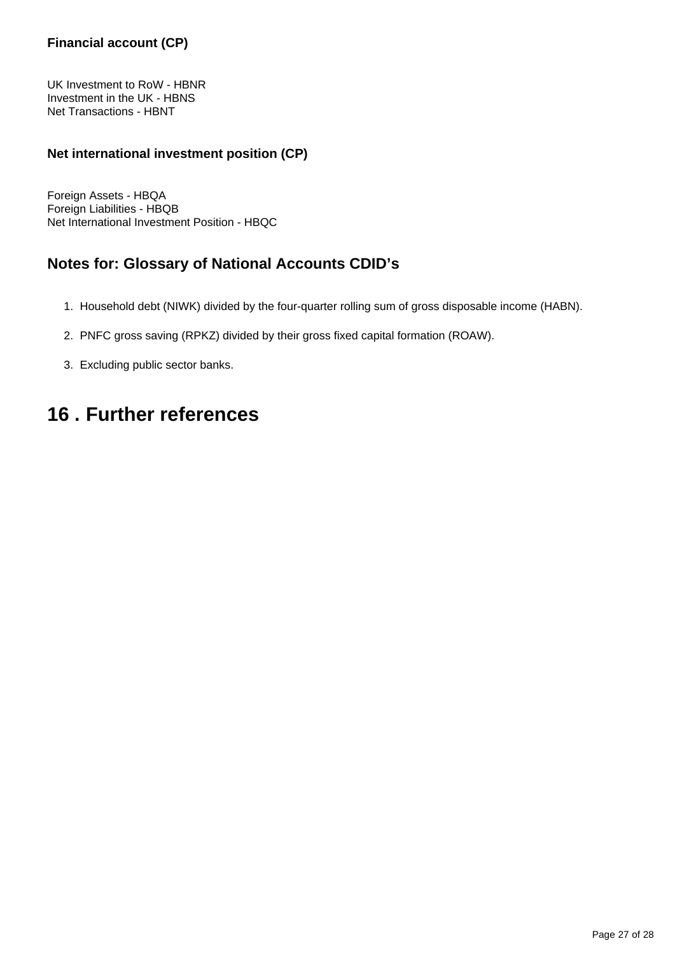### **Financial account (CP)**

UK Investment to RoW - HBNR Investment in the UK - HBNS Net Transactions - HBNT

### **Net international investment position (CP)**

Foreign Assets - HBQA Foreign Liabilities - HBQB Net International Investment Position - HBQC

### **Notes for: Glossary of National Accounts CDID's**

- 1. Household debt (NIWK) divided by the four-quarter rolling sum of gross disposable income (HABN).
- 2. PNFC gross saving (RPKZ) divided by their gross fixed capital formation (ROAW).
- 3. Excluding public sector banks.

# <span id="page-26-0"></span>**16 . Further references**